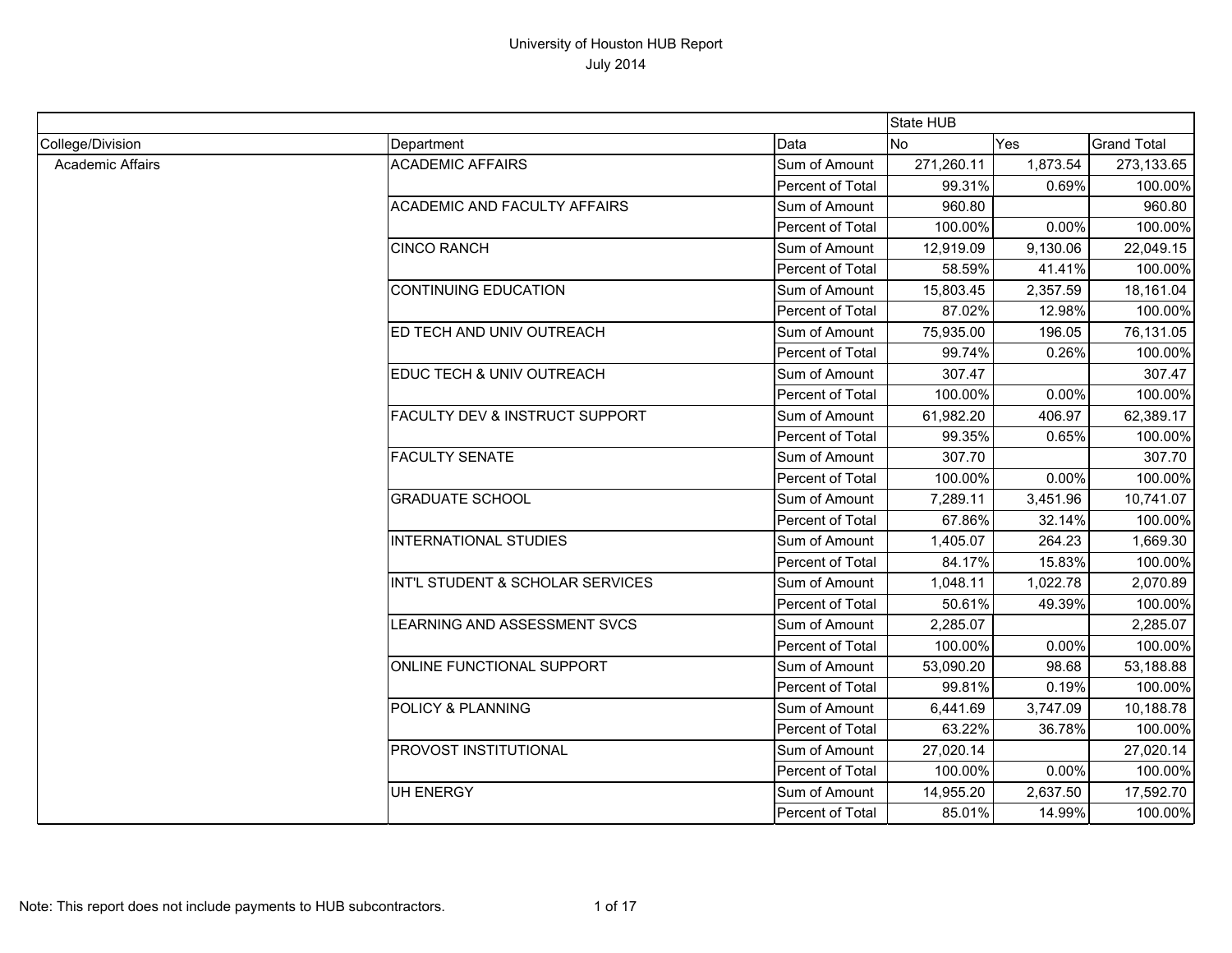|                         |                                           |                  | State HUB  |          |                    |
|-------------------------|-------------------------------------------|------------------|------------|----------|--------------------|
| College/Division        | Department                                | Data             | <b>No</b>  | Yes      | <b>Grand Total</b> |
| <b>Academic Affairs</b> | <b>ACADEMIC AFFAIRS</b>                   | Sum of Amount    | 271,260.11 | 1,873.54 | 273,133.65         |
|                         |                                           | Percent of Total | 99.31%     | 0.69%    | 100.00%            |
|                         | <b>ACADEMIC AND FACULTY AFFAIRS</b>       | Sum of Amount    | 960.80     |          | 960.80             |
|                         |                                           | Percent of Total | 100.00%    | 0.00%    | 100.00%            |
|                         | <b>CINCO RANCH</b>                        | Sum of Amount    | 12,919.09  | 9,130.06 | 22,049.15          |
|                         |                                           | Percent of Total | 58.59%     | 41.41%   | 100.00%            |
|                         | <b>CONTINUING EDUCATION</b>               | Sum of Amount    | 15,803.45  | 2,357.59 | 18,161.04          |
|                         |                                           | Percent of Total | 87.02%     | 12.98%   | 100.00%            |
|                         | ED TECH AND UNIV OUTREACH                 | Sum of Amount    | 75,935.00  | 196.05   | 76,131.05          |
|                         |                                           | Percent of Total | 99.74%     | 0.26%    | 100.00%            |
|                         | EDUC TECH & UNIV OUTREACH                 | Sum of Amount    | 307.47     |          | 307.47             |
|                         |                                           | Percent of Total | 100.00%    | 0.00%    | 100.00%            |
|                         | <b>FACULTY DEV &amp; INSTRUCT SUPPORT</b> | Sum of Amount    | 61,982.20  | 406.97   | 62,389.17          |
|                         |                                           | Percent of Total | 99.35%     | 0.65%    | 100.00%            |
|                         | <b>FACULTY SENATE</b>                     | Sum of Amount    | 307.70     |          | 307.70             |
|                         |                                           | Percent of Total | 100.00%    | 0.00%    | 100.00%            |
|                         | <b>GRADUATE SCHOOL</b>                    | Sum of Amount    | 7,289.11   | 3,451.96 | 10,741.07          |
|                         |                                           | Percent of Total | 67.86%     | 32.14%   | 100.00%            |
|                         | <b>INTERNATIONAL STUDIES</b>              | Sum of Amount    | 1,405.07   | 264.23   | 1,669.30           |
|                         |                                           | Percent of Total | 84.17%     | 15.83%   | 100.00%            |
|                         | INT'L STUDENT & SCHOLAR SERVICES          | Sum of Amount    | 1,048.11   | 1,022.78 | 2,070.89           |
|                         |                                           | Percent of Total | 50.61%     | 49.39%   | 100.00%            |
|                         | <b>EARNING AND ASSESSMENT SVCS</b>        | Sum of Amount    | 2,285.07   |          | 2,285.07           |
|                         |                                           | Percent of Total | 100.00%    | 0.00%    | 100.00%            |
|                         | ONLINE FUNCTIONAL SUPPORT                 | Sum of Amount    | 53,090.20  | 98.68    | 53,188.88          |
|                         |                                           | Percent of Total | 99.81%     | 0.19%    | 100.00%            |
|                         | POLICY & PLANNING                         | Sum of Amount    | 6,441.69   | 3,747.09 | 10,188.78          |
|                         |                                           | Percent of Total | 63.22%     | 36.78%   | 100.00%            |
|                         | PROVOST INSTITUTIONAL                     | Sum of Amount    | 27,020.14  |          | 27,020.14          |
|                         |                                           | Percent of Total | 100.00%    | 0.00%    | 100.00%            |
|                         | <b>UH ENERGY</b>                          | Sum of Amount    | 14,955.20  | 2,637.50 | 17,592.70          |
|                         |                                           | Percent of Total | 85.01%     | 14.99%   | 100.00%            |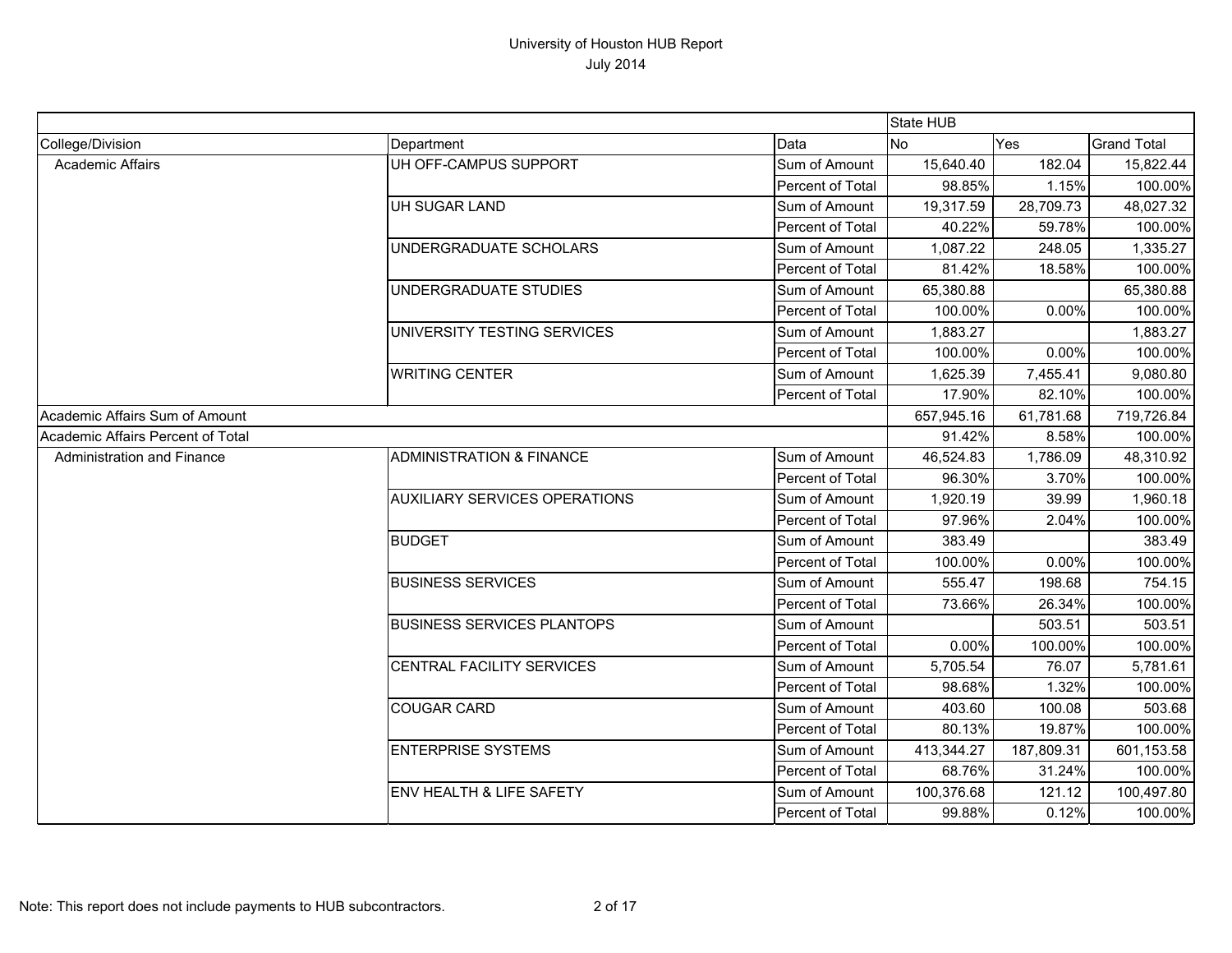|                                   |                                      |                  | State HUB  |            |                    |
|-----------------------------------|--------------------------------------|------------------|------------|------------|--------------------|
| College/Division                  | Department                           | Data             | <b>No</b>  | Yes        | <b>Grand Total</b> |
| <b>Academic Affairs</b>           | UH OFF-CAMPUS SUPPORT                | Sum of Amount    | 15,640.40  | 182.04     | 15,822.44          |
|                                   |                                      | Percent of Total | 98.85%     | 1.15%      | 100.00%            |
|                                   | <b>UH SUGAR LAND</b>                 | Sum of Amount    | 19,317.59  | 28,709.73  | 48,027.32          |
|                                   |                                      | Percent of Total | 40.22%     | 59.78%     | 100.00%            |
|                                   | UNDERGRADUATE SCHOLARS               | Sum of Amount    | 1,087.22   | 248.05     | 1,335.27           |
|                                   |                                      | Percent of Total | 81.42%     | 18.58%     | 100.00%            |
|                                   | UNDERGRADUATE STUDIES                | Sum of Amount    | 65,380.88  |            | 65,380.88          |
|                                   |                                      | Percent of Total | 100.00%    | 0.00%      | 100.00%            |
|                                   | UNIVERSITY TESTING SERVICES          | Sum of Amount    | 1,883.27   |            | 1,883.27           |
|                                   |                                      | Percent of Total | 100.00%    | 0.00%      | 100.00%            |
|                                   | <b>WRITING CENTER</b>                | Sum of Amount    | 1,625.39   | 7,455.41   | 9,080.80           |
|                                   |                                      | Percent of Total | 17.90%     | 82.10%     | 100.00%            |
| Academic Affairs Sum of Amount    |                                      |                  | 657,945.16 | 61,781.68  | 719,726.84         |
| Academic Affairs Percent of Total |                                      |                  | 91.42%     | 8.58%      | 100.00%            |
| Administration and Finance        | <b>ADMINISTRATION &amp; FINANCE</b>  | Sum of Amount    | 46,524.83  | 1,786.09   | 48,310.92          |
|                                   |                                      | Percent of Total | 96.30%     | 3.70%      | 100.00%            |
|                                   | <b>AUXILIARY SERVICES OPERATIONS</b> | Sum of Amount    | 1,920.19   | 39.99      | 1,960.18           |
|                                   |                                      | Percent of Total | 97.96%     | 2.04%      | 100.00%            |
|                                   | <b>BUDGET</b>                        | Sum of Amount    | 383.49     |            | 383.49             |
|                                   |                                      | Percent of Total | 100.00%    | 0.00%      | 100.00%            |
|                                   | <b>BUSINESS SERVICES</b>             | Sum of Amount    | 555.47     | 198.68     | 754.15             |
|                                   |                                      | Percent of Total | 73.66%     | 26.34%     | 100.00%            |
|                                   | <b>BUSINESS SERVICES PLANTOPS</b>    | Sum of Amount    |            | 503.51     | 503.51             |
|                                   |                                      | Percent of Total | 0.00%      | 100.00%    | 100.00%            |
|                                   | CENTRAL FACILITY SERVICES            | Sum of Amount    | 5,705.54   | 76.07      | 5,781.61           |
|                                   |                                      | Percent of Total | 98.68%     | 1.32%      | 100.00%            |
|                                   | <b>COUGAR CARD</b>                   | Sum of Amount    | 403.60     | 100.08     | 503.68             |
|                                   |                                      | Percent of Total | 80.13%     | 19.87%     | 100.00%            |
|                                   | <b>ENTERPRISE SYSTEMS</b>            | Sum of Amount    | 413,344.27 | 187,809.31 | 601,153.58         |
|                                   |                                      | Percent of Total | 68.76%     | 31.24%     | 100.00%            |
|                                   | <b>ENV HEALTH &amp; LIFE SAFETY</b>  | Sum of Amount    | 100,376.68 | 121.12     | 100,497.80         |
|                                   |                                      | Percent of Total | 99.88%     | 0.12%      | 100.00%            |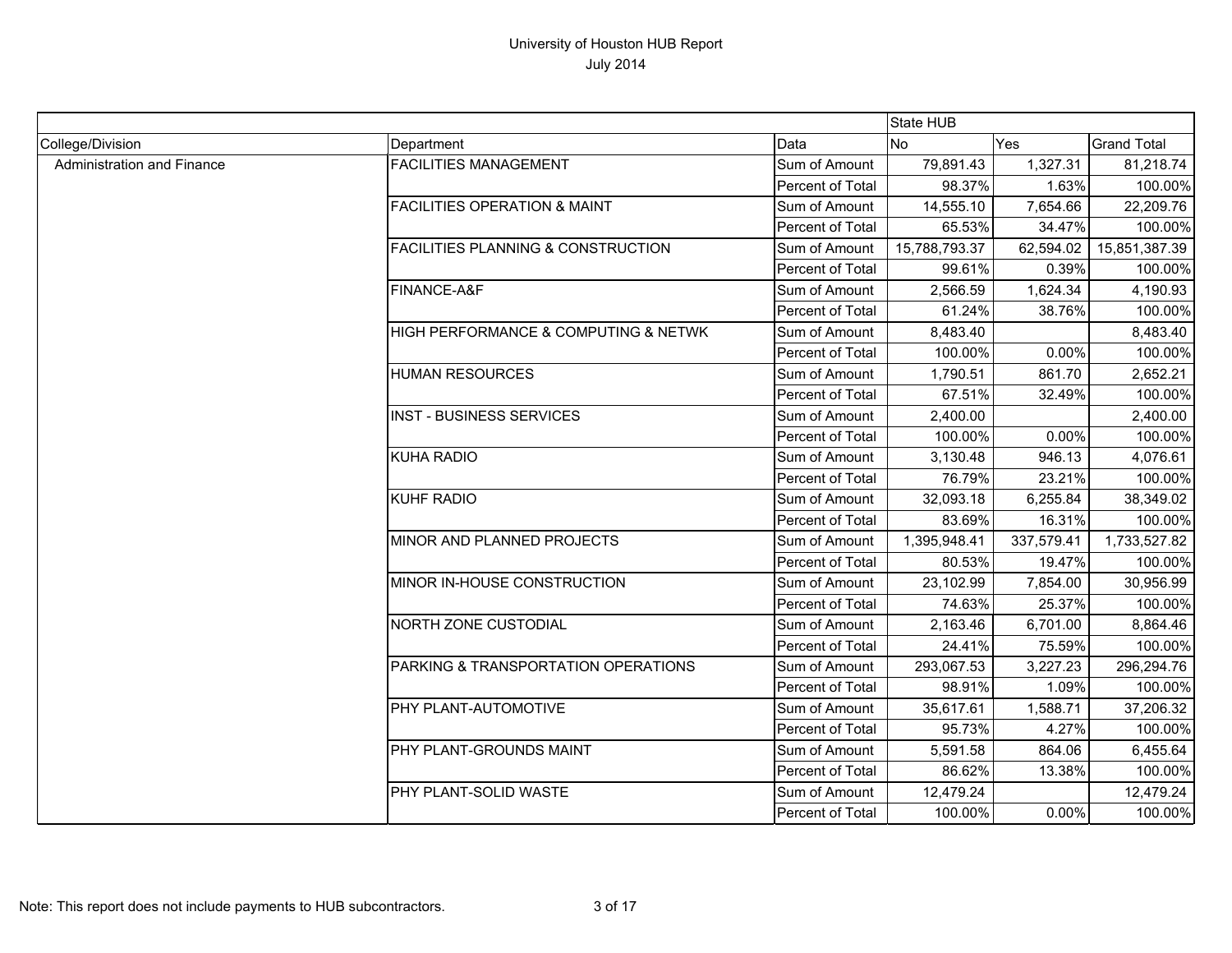|                            |                                               |                  | State HUB     |            |                    |
|----------------------------|-----------------------------------------------|------------------|---------------|------------|--------------------|
| College/Division           | Department                                    | Data             | <b>No</b>     | Yes        | <b>Grand Total</b> |
| Administration and Finance | <b>FACILITIES MANAGEMENT</b>                  | Sum of Amount    | 79,891.43     | 1,327.31   | 81,218.74          |
|                            |                                               | Percent of Total | 98.37%        | 1.63%      | 100.00%            |
|                            | <b>FACILITIES OPERATION &amp; MAINT</b>       | Sum of Amount    | 14,555.10     | 7,654.66   | 22,209.76          |
|                            |                                               | Percent of Total | 65.53%        | 34.47%     | 100.00%            |
|                            | <b>FACILITIES PLANNING &amp; CONSTRUCTION</b> | Sum of Amount    | 15,788,793.37 | 62,594.02  | 15,851,387.39      |
|                            |                                               | Percent of Total | 99.61%        | 0.39%      | 100.00%            |
|                            | FINANCE-A&F                                   | Sum of Amount    | 2,566.59      | 1,624.34   | 4,190.93           |
|                            |                                               | Percent of Total | 61.24%        | 38.76%     | 100.00%            |
|                            | HIGH PERFORMANCE & COMPUTING & NETWK          | Sum of Amount    | 8,483.40      |            | 8,483.40           |
|                            |                                               | Percent of Total | 100.00%       | 0.00%      | 100.00%            |
|                            | <b>HUMAN RESOURCES</b>                        | Sum of Amount    | 1,790.51      | 861.70     | 2,652.21           |
|                            |                                               | Percent of Total | 67.51%        | 32.49%     | 100.00%            |
|                            | <b>INST - BUSINESS SERVICES</b>               | Sum of Amount    | 2,400.00      |            | 2,400.00           |
|                            |                                               | Percent of Total | 100.00%       | 0.00%      | 100.00%            |
|                            | <b>KUHA RADIO</b>                             | Sum of Amount    | 3,130.48      | 946.13     | 4,076.61           |
|                            |                                               | Percent of Total | 76.79%        | 23.21%     | 100.00%            |
|                            | <b>KUHF RADIO</b>                             | Sum of Amount    | 32,093.18     | 6,255.84   | 38,349.02          |
|                            |                                               | Percent of Total | 83.69%        | 16.31%     | 100.00%            |
|                            | MINOR AND PLANNED PROJECTS                    | Sum of Amount    | 1,395,948.41  | 337,579.41 | 1,733,527.82       |
|                            |                                               | Percent of Total | 80.53%        | 19.47%     | 100.00%            |
|                            | MINOR IN-HOUSE CONSTRUCTION                   | Sum of Amount    | 23,102.99     | 7,854.00   | 30,956.99          |
|                            |                                               | Percent of Total | 74.63%        | 25.37%     | 100.00%            |
|                            | <b>NORTH ZONE CUSTODIAL</b>                   | Sum of Amount    | 2,163.46      | 6,701.00   | 8,864.46           |
|                            |                                               | Percent of Total | 24.41%        | 75.59%     | 100.00%            |
|                            | PARKING & TRANSPORTATION OPERATIONS           | Sum of Amount    | 293,067.53    | 3,227.23   | 296,294.76         |
|                            |                                               | Percent of Total | 98.91%        | 1.09%      | 100.00%            |
|                            | PHY PLANT-AUTOMOTIVE                          | Sum of Amount    | 35,617.61     | 1,588.71   | 37,206.32          |
|                            |                                               | Percent of Total | 95.73%        | 4.27%      | 100.00%            |
|                            | PHY PLANT-GROUNDS MAINT                       | Sum of Amount    | 5,591.58      | 864.06     | 6,455.64           |
|                            |                                               | Percent of Total | 86.62%        | 13.38%     | 100.00%            |
|                            | PHY PLANT-SOLID WASTE                         | Sum of Amount    | 12,479.24     |            | 12,479.24          |
|                            |                                               | Percent of Total | 100.00%       | 0.00%      | 100.00%            |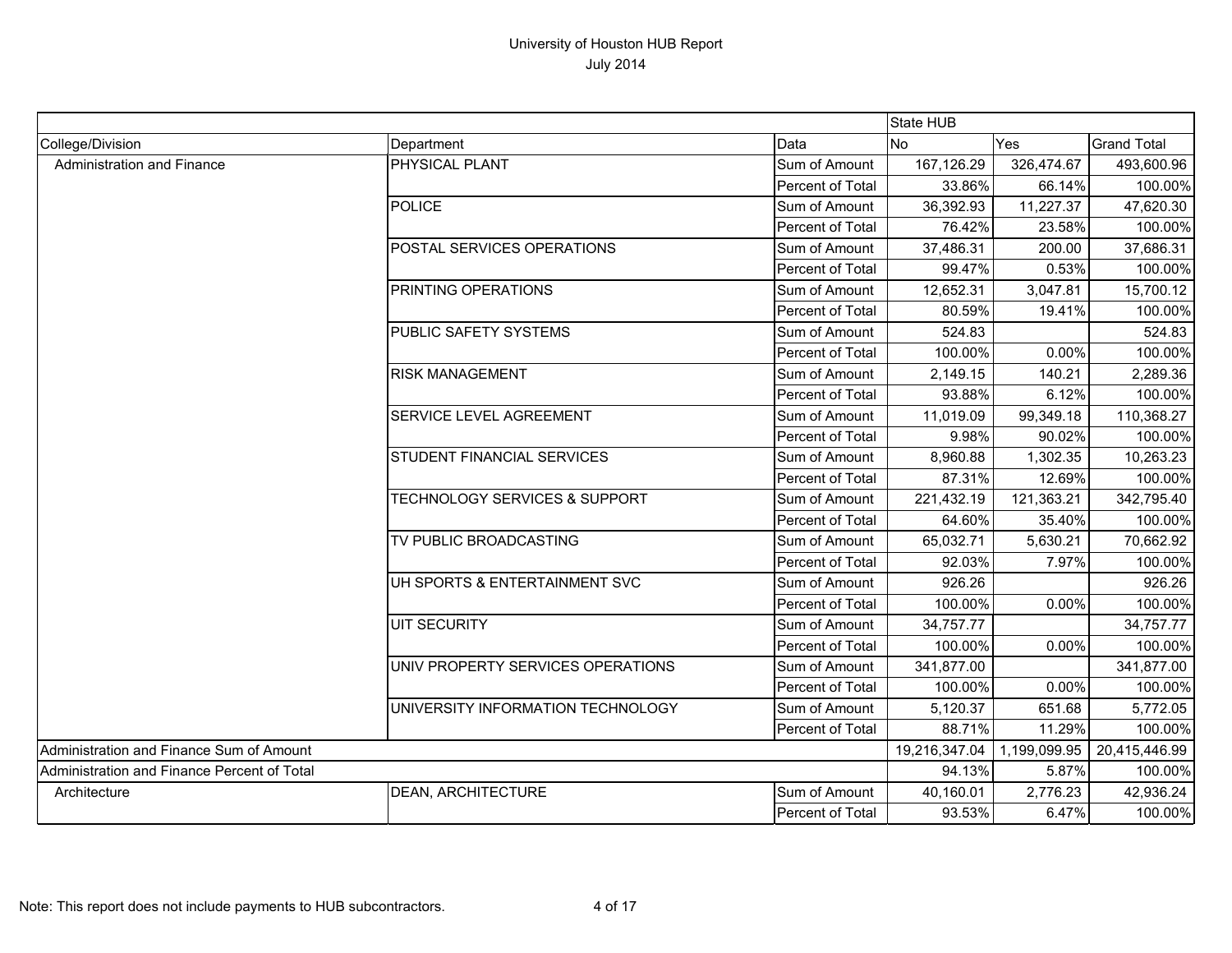|                                             |                                          |                  | State HUB                    |            |                    |
|---------------------------------------------|------------------------------------------|------------------|------------------------------|------------|--------------------|
| College/Division                            | Department                               | Data             | N <sub>o</sub>               | Yes        | <b>Grand Total</b> |
| Administration and Finance                  | PHYSICAL PLANT                           | Sum of Amount    | 167,126.29                   | 326,474.67 | 493,600.96         |
|                                             |                                          | Percent of Total | 33.86%                       | 66.14%     | 100.00%            |
|                                             | POLICE                                   | Sum of Amount    | 36,392.93                    | 11,227.37  | 47,620.30          |
|                                             |                                          | Percent of Total | 76.42%                       | 23.58%     | 100.00%            |
|                                             | POSTAL SERVICES OPERATIONS               | Sum of Amount    | 37,486.31                    | 200.00     | 37,686.31          |
|                                             |                                          | Percent of Total | 99.47%                       | 0.53%      | 100.00%            |
|                                             | <b>PRINTING OPERATIONS</b>               | Sum of Amount    | 12,652.31                    | 3,047.81   | 15,700.12          |
|                                             |                                          | Percent of Total | 80.59%                       | 19.41%     | 100.00%            |
|                                             | PUBLIC SAFETY SYSTEMS                    | Sum of Amount    | 524.83                       |            | 524.83             |
|                                             |                                          | Percent of Total | 100.00%                      | 0.00%      | 100.00%            |
|                                             | <b>RISK MANAGEMENT</b>                   | Sum of Amount    | 2,149.15                     | 140.21     | 2,289.36           |
|                                             |                                          | Percent of Total | 93.88%                       | 6.12%      | 100.00%            |
|                                             | <b>SERVICE LEVEL AGREEMENT</b>           | Sum of Amount    | 11,019.09                    | 99,349.18  | 110,368.27         |
|                                             |                                          | Percent of Total | 9.98%                        | 90.02%     | 100.00%            |
|                                             | <b>STUDENT FINANCIAL SERVICES</b>        | Sum of Amount    | 8,960.88                     | 1,302.35   | 10,263.23          |
|                                             |                                          | Percent of Total | 87.31%                       | 12.69%     | 100.00%            |
|                                             | <b>TECHNOLOGY SERVICES &amp; SUPPORT</b> | Sum of Amount    | 221,432.19                   | 121,363.21 | 342,795.40         |
|                                             |                                          | Percent of Total | 64.60%                       | 35.40%     | 100.00%            |
|                                             | TV PUBLIC BROADCASTING                   | Sum of Amount    | 65,032.71                    | 5,630.21   | 70,662.92          |
|                                             |                                          | Percent of Total | 92.03%                       | 7.97%      | 100.00%            |
|                                             | UH SPORTS & ENTERTAINMENT SVC            | Sum of Amount    | 926.26                       |            | 926.26             |
|                                             |                                          | Percent of Total | 100.00%                      | 0.00%      | 100.00%            |
|                                             | <b>UIT SECURITY</b>                      | Sum of Amount    | 34,757.77                    |            | 34,757.77          |
|                                             |                                          | Percent of Total | 100.00%                      | 0.00%      | 100.00%            |
|                                             | UNIV PROPERTY SERVICES OPERATIONS        | Sum of Amount    | 341,877.00                   |            | 341,877.00         |
|                                             |                                          | Percent of Total | 100.00%                      | 0.00%      | 100.00%            |
|                                             | UNIVERSITY INFORMATION TECHNOLOGY        | Sum of Amount    | 5,120.37                     | 651.68     | 5,772.05           |
|                                             |                                          | Percent of Total | 88.71%                       | 11.29%     | 100.00%            |
| Administration and Finance Sum of Amount    |                                          |                  | 19,216,347.04   1,199,099.95 |            | 20,415,446.99      |
| Administration and Finance Percent of Total |                                          |                  | 94.13%                       | 5.87%      | 100.00%            |
| Architecture                                | <b>DEAN, ARCHITECTURE</b>                | Sum of Amount    | 40,160.01                    | 2,776.23   | 42,936.24          |
|                                             |                                          | Percent of Total | 93.53%                       | 6.47%      | 100.00%            |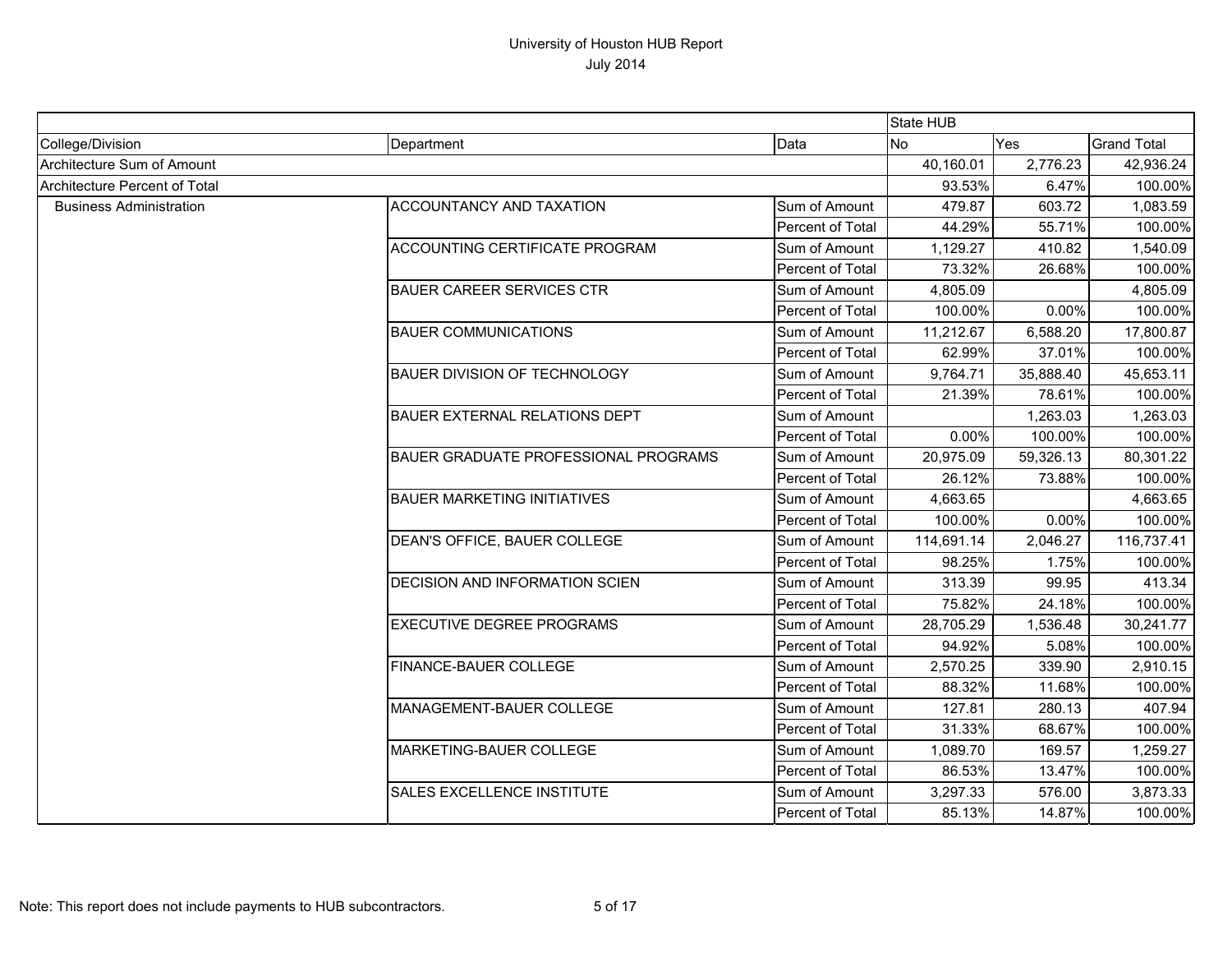|                                      |                                             |                  | State HUB  |           |                    |
|--------------------------------------|---------------------------------------------|------------------|------------|-----------|--------------------|
| College/Division                     | Department                                  | Data             | <b>No</b>  | Yes       | <b>Grand Total</b> |
| Architecture Sum of Amount           |                                             |                  | 40,160.01  | 2,776.23  | 42,936.24          |
| <b>Architecture Percent of Total</b> |                                             |                  | 93.53%     | 6.47%     | 100.00%            |
| <b>Business Administration</b>       | ACCOUNTANCY AND TAXATION                    | Sum of Amount    | 479.87     | 603.72    | 1,083.59           |
|                                      |                                             | Percent of Total | 44.29%     | 55.71%    | 100.00%            |
|                                      | ACCOUNTING CERTIFICATE PROGRAM              | Sum of Amount    | 1,129.27   | 410.82    | 1,540.09           |
|                                      |                                             | Percent of Total | 73.32%     | 26.68%    | 100.00%            |
|                                      | <b>BAUER CAREER SERVICES CTR</b>            | Sum of Amount    | 4,805.09   |           | 4,805.09           |
|                                      |                                             | Percent of Total | 100.00%    | 0.00%     | 100.00%            |
|                                      | <b>BAUER COMMUNICATIONS</b>                 | Sum of Amount    | 11,212.67  | 6,588.20  | 17,800.87          |
|                                      |                                             | Percent of Total | 62.99%     | 37.01%    | 100.00%            |
|                                      | <b>BAUER DIVISION OF TECHNOLOGY</b>         | Sum of Amount    | 9,764.71   | 35,888.40 | 45,653.11          |
|                                      |                                             | Percent of Total | 21.39%     | 78.61%    | 100.00%            |
|                                      | <b>BAUER EXTERNAL RELATIONS DEPT</b>        | Sum of Amount    |            | 1,263.03  | 1,263.03           |
|                                      |                                             | Percent of Total | 0.00%      | 100.00%   | 100.00%            |
|                                      | <b>BAUER GRADUATE PROFESSIONAL PROGRAMS</b> | Sum of Amount    | 20,975.09  | 59,326.13 | 80,301.22          |
|                                      |                                             | Percent of Total | 26.12%     | 73.88%    | 100.00%            |
|                                      | <b>BAUER MARKETING INITIATIVES</b>          | Sum of Amount    | 4,663.65   |           | 4,663.65           |
|                                      |                                             | Percent of Total | 100.00%    | 0.00%     | 100.00%            |
|                                      | DEAN'S OFFICE, BAUER COLLEGE                | Sum of Amount    | 114,691.14 | 2,046.27  | 116,737.41         |
|                                      |                                             | Percent of Total | 98.25%     | 1.75%     | 100.00%            |
|                                      | DECISION AND INFORMATION SCIEN              | Sum of Amount    | 313.39     | 99.95     | 413.34             |
|                                      |                                             | Percent of Total | 75.82%     | 24.18%    | 100.00%            |
|                                      | <b>EXECUTIVE DEGREE PROGRAMS</b>            | Sum of Amount    | 28,705.29  | 1,536.48  | 30,241.77          |
|                                      |                                             | Percent of Total | 94.92%     | 5.08%     | 100.00%            |
|                                      | <b>FINANCE-BAUER COLLEGE</b>                | Sum of Amount    | 2,570.25   | 339.90    | 2,910.15           |
|                                      |                                             | Percent of Total | 88.32%     | 11.68%    | 100.00%            |
|                                      | MANAGEMENT-BAUER COLLEGE                    | Sum of Amount    | 127.81     | 280.13    | 407.94             |
|                                      |                                             | Percent of Total | 31.33%     | 68.67%    | 100.00%            |
|                                      | MARKETING-BAUER COLLEGE                     | Sum of Amount    | 1,089.70   | 169.57    | 1,259.27           |
|                                      |                                             | Percent of Total | 86.53%     | 13.47%    | 100.00%            |
|                                      | <b>SALES EXCELLENCE INSTITUTE</b>           | Sum of Amount    | 3,297.33   | 576.00    | 3,873.33           |
|                                      |                                             | Percent of Total | 85.13%     | 14.87%    | 100.00%            |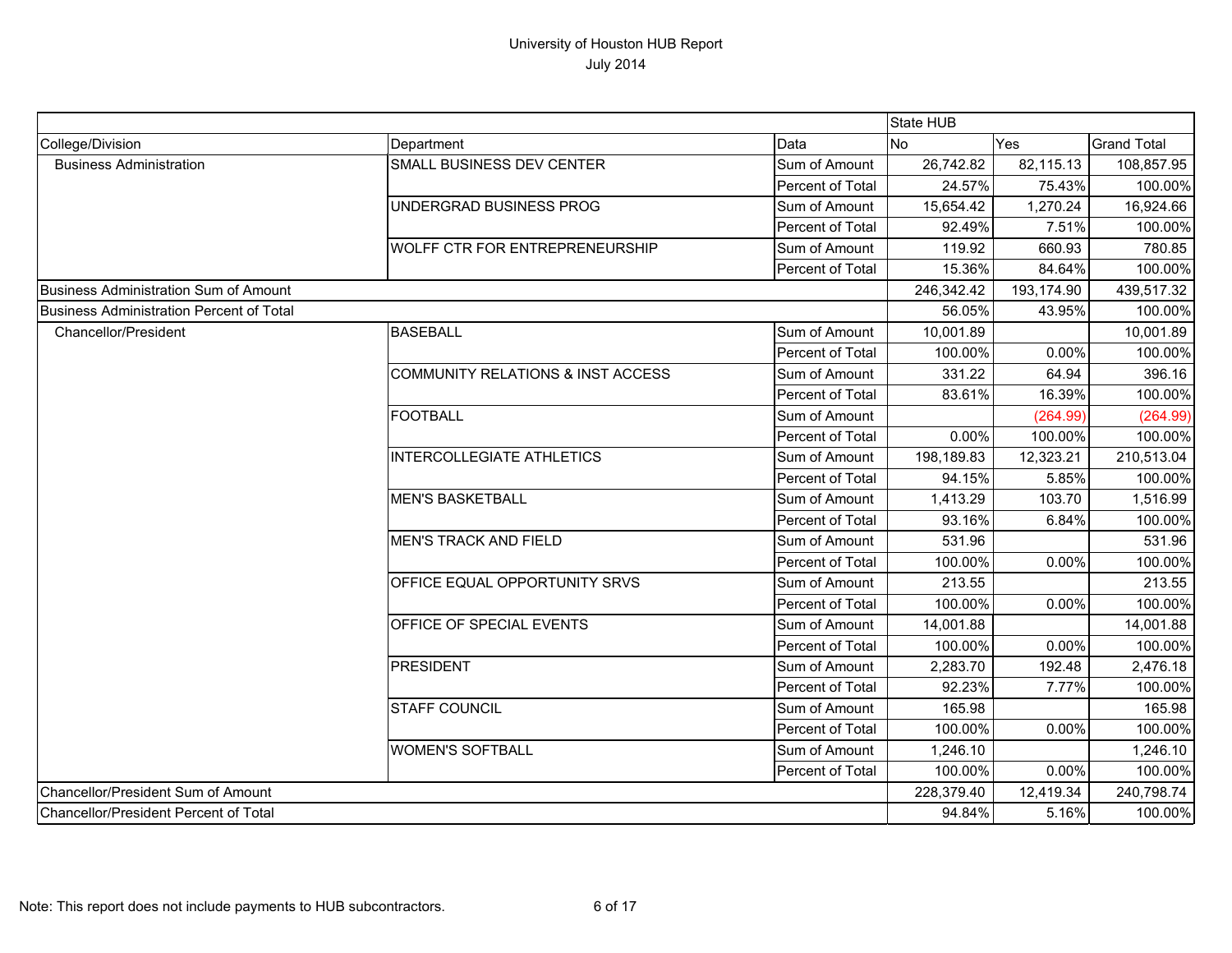|                                                 |                                              |                  | State HUB  |            |                    |
|-------------------------------------------------|----------------------------------------------|------------------|------------|------------|--------------------|
| College/Division                                | Department                                   | Data             | No         | Yes        | <b>Grand Total</b> |
| <b>Business Administration</b>                  | SMALL BUSINESS DEV CENTER                    | Sum of Amount    | 26,742.82  | 82,115.13  | 108,857.95         |
|                                                 |                                              | Percent of Total | 24.57%     | 75.43%     | 100.00%            |
|                                                 | UNDERGRAD BUSINESS PROG                      | Sum of Amount    | 15,654.42  | 1,270.24   | 16,924.66          |
|                                                 |                                              | Percent of Total | 92.49%     | 7.51%      | 100.00%            |
|                                                 | WOLFF CTR FOR ENTREPRENEURSHIP               | Sum of Amount    | 119.92     | 660.93     | 780.85             |
|                                                 |                                              | Percent of Total | 15.36%     | 84.64%     | 100.00%            |
| Business Administration Sum of Amount           |                                              |                  | 246,342.42 | 193,174.90 | 439,517.32         |
| <b>Business Administration Percent of Total</b> |                                              |                  | 56.05%     | 43.95%     | 100.00%            |
| Chancellor/President                            | <b>BASEBALL</b>                              | Sum of Amount    | 10,001.89  |            | 10,001.89          |
|                                                 |                                              | Percent of Total | 100.00%    | 0.00%      | 100.00%            |
|                                                 | <b>COMMUNITY RELATIONS &amp; INST ACCESS</b> | Sum of Amount    | 331.22     | 64.94      | 396.16             |
|                                                 |                                              | Percent of Total | 83.61%     | 16.39%     | 100.00%            |
|                                                 | <b>FOOTBALL</b>                              | Sum of Amount    |            | (264.99)   | (264.99)           |
|                                                 |                                              | Percent of Total | 0.00%      | 100.00%    | 100.00%            |
|                                                 | <b>INTERCOLLEGIATE ATHLETICS</b>             | Sum of Amount    | 198,189.83 | 12,323.21  | 210,513.04         |
|                                                 |                                              | Percent of Total | 94.15%     | 5.85%      | 100.00%            |
|                                                 | <b>MEN'S BASKETBALL</b>                      | Sum of Amount    | 1,413.29   | 103.70     | 1,516.99           |
|                                                 |                                              | Percent of Total | 93.16%     | 6.84%      | 100.00%            |
|                                                 | <b>MEN'S TRACK AND FIELD</b>                 | Sum of Amount    | 531.96     |            | 531.96             |
|                                                 |                                              | Percent of Total | 100.00%    | 0.00%      | 100.00%            |
|                                                 | OFFICE EQUAL OPPORTUNITY SRVS                | Sum of Amount    | 213.55     |            | 213.55             |
|                                                 |                                              | Percent of Total | 100.00%    | 0.00%      | 100.00%            |
|                                                 | OFFICE OF SPECIAL EVENTS                     | Sum of Amount    | 14,001.88  |            | 14,001.88          |
|                                                 |                                              | Percent of Total | 100.00%    | 0.00%      | 100.00%            |
|                                                 | <b>PRESIDENT</b>                             | Sum of Amount    | 2,283.70   | 192.48     | 2,476.18           |
|                                                 |                                              | Percent of Total | 92.23%     | 7.77%      | 100.00%            |
|                                                 | <b>STAFF COUNCIL</b>                         | Sum of Amount    | 165.98     |            | 165.98             |
|                                                 |                                              | Percent of Total | 100.00%    | 0.00%      | 100.00%            |
|                                                 | <b>WOMEN'S SOFTBALL</b>                      | Sum of Amount    | 1,246.10   |            | 1,246.10           |
|                                                 |                                              | Percent of Total | 100.00%    | 0.00%      | 100.00%            |
| Chancellor/President Sum of Amount              |                                              |                  | 228,379.40 | 12,419.34  | 240,798.74         |
| Chancellor/President Percent of Total           |                                              |                  | 94.84%     | 5.16%      | 100.00%            |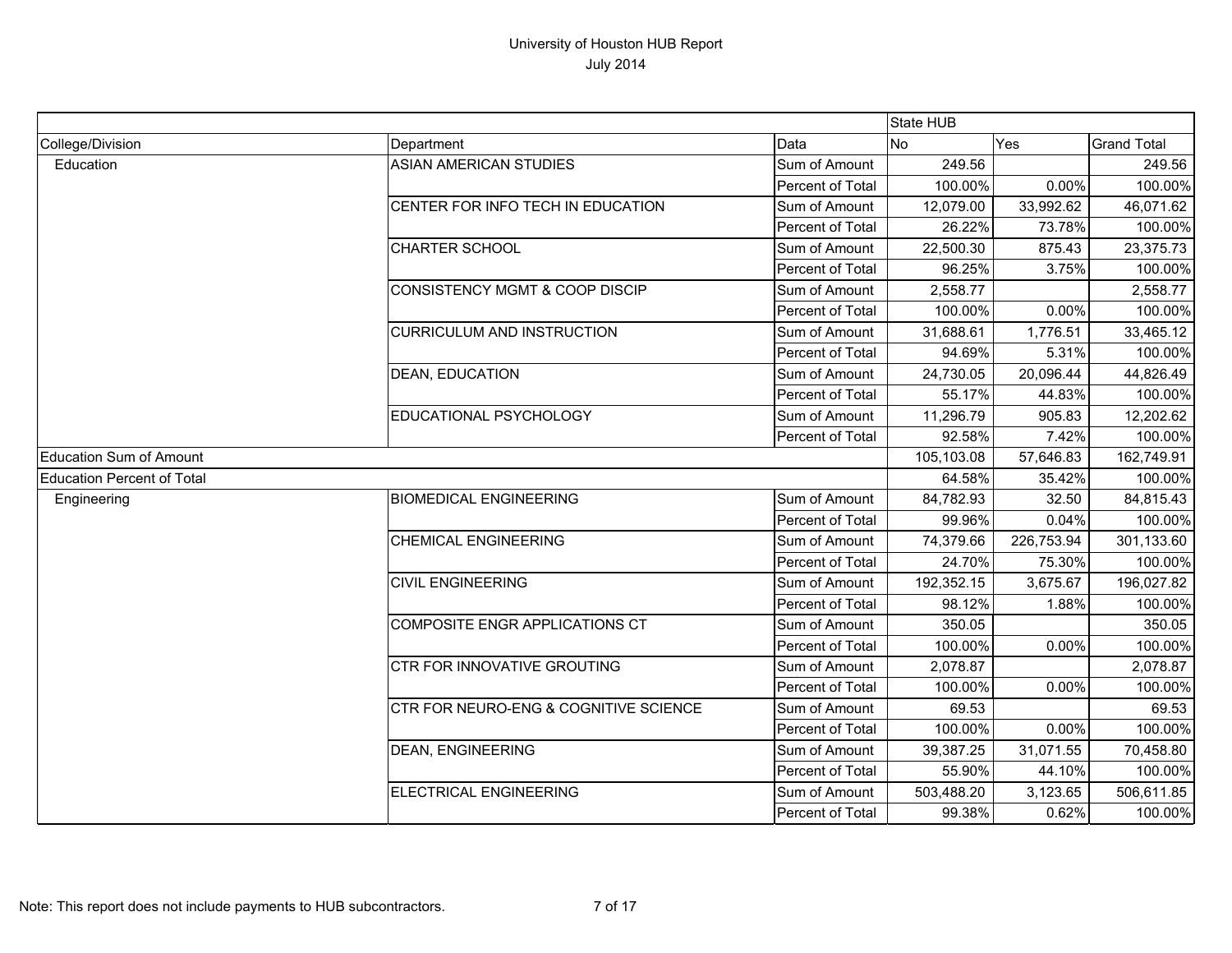|                                   |                                       |                  | State HUB  |            |                    |
|-----------------------------------|---------------------------------------|------------------|------------|------------|--------------------|
| College/Division                  | Department                            | Data             | <b>No</b>  | Yes        | <b>Grand Total</b> |
| Education                         | <b>ASIAN AMERICAN STUDIES</b>         | Sum of Amount    | 249.56     |            | 249.56             |
|                                   |                                       | Percent of Total | 100.00%    | 0.00%      | 100.00%            |
|                                   | CENTER FOR INFO TECH IN EDUCATION     | Sum of Amount    | 12,079.00  | 33,992.62  | 46,071.62          |
|                                   |                                       | Percent of Total | 26.22%     | 73.78%     | 100.00%            |
|                                   | <b>CHARTER SCHOOL</b>                 | Sum of Amount    | 22,500.30  | 875.43     | 23,375.73          |
|                                   |                                       | Percent of Total | 96.25%     | 3.75%      | 100.00%            |
|                                   | CONSISTENCY MGMT & COOP DISCIP        | Sum of Amount    | 2,558.77   |            | 2,558.77           |
|                                   |                                       | Percent of Total | 100.00%    | 0.00%      | 100.00%            |
|                                   | <b>CURRICULUM AND INSTRUCTION</b>     | Sum of Amount    | 31,688.61  | 1,776.51   | 33,465.12          |
|                                   |                                       | Percent of Total | 94.69%     | 5.31%      | 100.00%            |
|                                   | <b>DEAN, EDUCATION</b>                | Sum of Amount    | 24,730.05  | 20,096.44  | 44,826.49          |
|                                   |                                       | Percent of Total | 55.17%     | 44.83%     | 100.00%            |
|                                   | EDUCATIONAL PSYCHOLOGY                | Sum of Amount    | 11,296.79  | 905.83     | 12,202.62          |
|                                   |                                       | Percent of Total | 92.58%     | 7.42%      | 100.00%            |
| <b>Education Sum of Amount</b>    |                                       |                  | 105,103.08 | 57,646.83  | 162,749.91         |
| <b>Education Percent of Total</b> |                                       |                  | 64.58%     | 35.42%     | 100.00%            |
| Engineering                       | <b>BIOMEDICAL ENGINEERING</b>         | Sum of Amount    | 84,782.93  | 32.50      | 84,815.43          |
|                                   |                                       | Percent of Total | 99.96%     | 0.04%      | 100.00%            |
|                                   | <b>CHEMICAL ENGINEERING</b>           | Sum of Amount    | 74,379.66  | 226,753.94 | 301,133.60         |
|                                   |                                       | Percent of Total | 24.70%     | 75.30%     | 100.00%            |
|                                   | <b>CIVIL ENGINEERING</b>              | Sum of Amount    | 192,352.15 | 3,675.67   | 196,027.82         |
|                                   |                                       | Percent of Total | 98.12%     | 1.88%      | 100.00%            |
|                                   | <b>COMPOSITE ENGR APPLICATIONS CT</b> | Sum of Amount    | 350.05     |            | 350.05             |
|                                   |                                       | Percent of Total | 100.00%    | 0.00%      | 100.00%            |
|                                   | <b>CTR FOR INNOVATIVE GROUTING</b>    | Sum of Amount    | 2,078.87   |            | 2,078.87           |
|                                   |                                       | Percent of Total | 100.00%    | 0.00%      | 100.00%            |
|                                   | CTR FOR NEURO-ENG & COGNITIVE SCIENCE | Sum of Amount    | 69.53      |            | 69.53              |
|                                   |                                       | Percent of Total | 100.00%    | 0.00%      | 100.00%            |
|                                   | <b>DEAN, ENGINEERING</b>              | Sum of Amount    | 39,387.25  | 31,071.55  | 70,458.80          |
|                                   |                                       | Percent of Total | 55.90%     | 44.10%     | 100.00%            |
|                                   | <b>ELECTRICAL ENGINEERING</b>         | Sum of Amount    | 503,488.20 | 3,123.65   | 506,611.85         |
|                                   |                                       | Percent of Total | 99.38%     | 0.62%      | 100.00%            |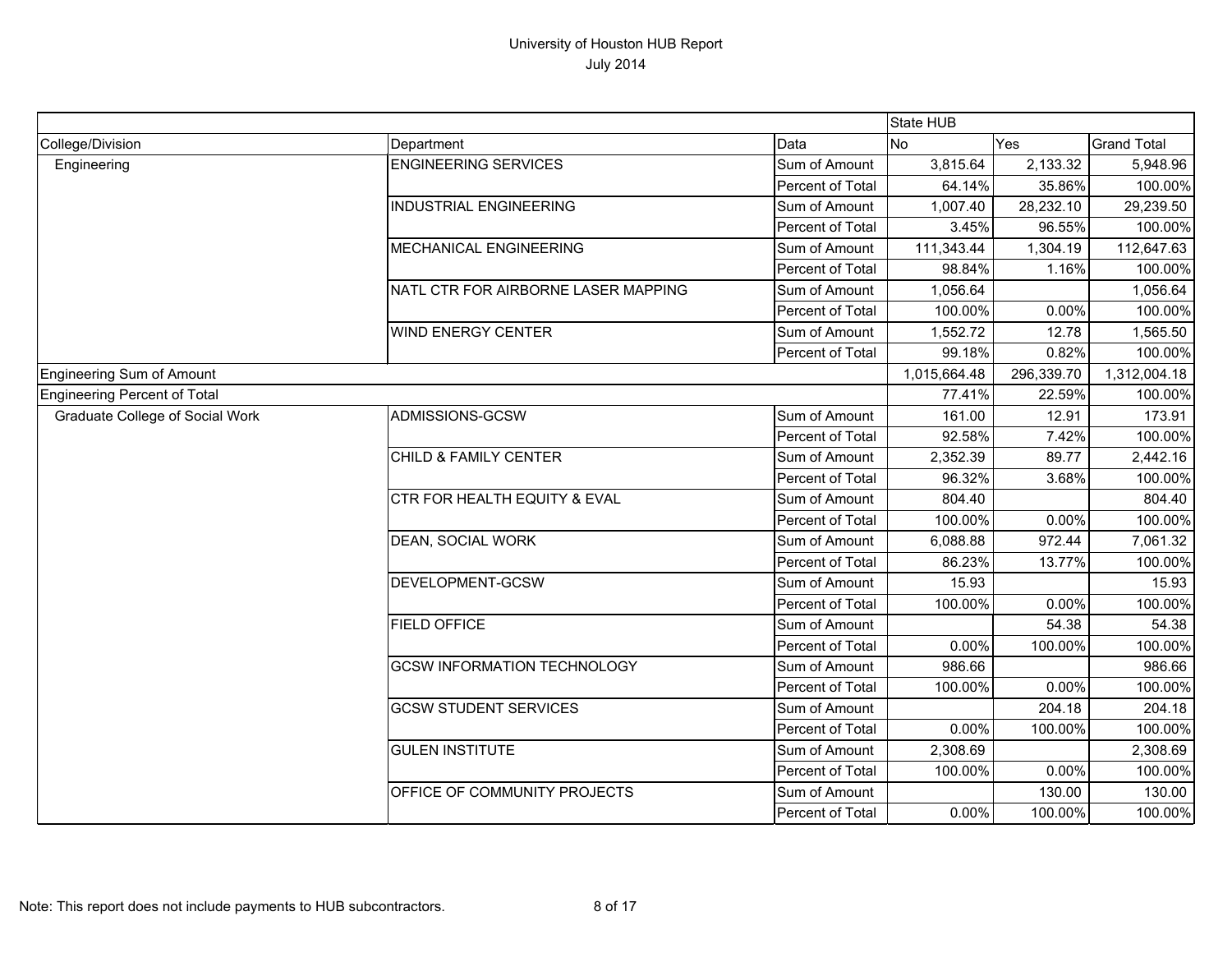|                                        |                                         |                  | State HUB    |            |                    |
|----------------------------------------|-----------------------------------------|------------------|--------------|------------|--------------------|
| College/Division                       | Department                              | Data             | <b>No</b>    | Yes        | <b>Grand Total</b> |
| Engineering                            | <b>ENGINEERING SERVICES</b>             | Sum of Amount    | 3,815.64     | 2,133.32   | 5,948.96           |
|                                        |                                         | Percent of Total | 64.14%       | 35.86%     | 100.00%            |
|                                        | <b>INDUSTRIAL ENGINEERING</b>           | Sum of Amount    | 1,007.40     | 28,232.10  | 29,239.50          |
|                                        |                                         | Percent of Total | 3.45%        | 96.55%     | 100.00%            |
|                                        | <b>MECHANICAL ENGINEERING</b>           | Sum of Amount    | 111,343.44   | 1,304.19   | 112,647.63         |
|                                        |                                         | Percent of Total | 98.84%       | 1.16%      | 100.00%            |
|                                        | NATL CTR FOR AIRBORNE LASER MAPPING     | Sum of Amount    | 1,056.64     |            | 1,056.64           |
|                                        |                                         | Percent of Total | 100.00%      | 0.00%      | 100.00%            |
|                                        | <b>WIND ENERGY CENTER</b>               | Sum of Amount    | 1,552.72     | 12.78      | 1,565.50           |
|                                        |                                         | Percent of Total | 99.18%       | 0.82%      | 100.00%            |
| <b>Engineering Sum of Amount</b>       |                                         |                  | 1,015,664.48 | 296,339.70 | 1,312,004.18       |
| <b>Engineering Percent of Total</b>    |                                         |                  | 77.41%       | 22.59%     | 100.00%            |
| <b>Graduate College of Social Work</b> | ADMISSIONS-GCSW                         | Sum of Amount    | 161.00       | 12.91      | 173.91             |
|                                        |                                         | Percent of Total | 92.58%       | 7.42%      | 100.00%            |
|                                        | CHILD & FAMILY CENTER                   | Sum of Amount    | 2,352.39     | 89.77      | 2,442.16           |
|                                        |                                         | Percent of Total | 96.32%       | 3.68%      | 100.00%            |
|                                        | <b>CTR FOR HEALTH EQUITY &amp; EVAL</b> | Sum of Amount    | 804.40       |            | 804.40             |
|                                        |                                         | Percent of Total | 100.00%      | 0.00%      | 100.00%            |
|                                        | <b>DEAN, SOCIAL WORK</b>                | Sum of Amount    | 6,088.88     | 972.44     | 7,061.32           |
|                                        |                                         | Percent of Total | 86.23%       | 13.77%     | 100.00%            |
|                                        | DEVELOPMENT-GCSW                        | Sum of Amount    | 15.93        |            | 15.93              |
|                                        |                                         | Percent of Total | 100.00%      | 0.00%      | 100.00%            |
|                                        | <b>FIELD OFFICE</b>                     | Sum of Amount    |              | 54.38      | 54.38              |
|                                        |                                         | Percent of Total | 0.00%        | 100.00%    | 100.00%            |
|                                        | <b>GCSW INFORMATION TECHNOLOGY</b>      | Sum of Amount    | 986.66       |            | 986.66             |
|                                        |                                         | Percent of Total | 100.00%      | 0.00%      | 100.00%            |
|                                        | <b>GCSW STUDENT SERVICES</b>            | Sum of Amount    |              | 204.18     | 204.18             |
|                                        |                                         | Percent of Total | 0.00%        | 100.00%    | 100.00%            |
|                                        | <b>GULEN INSTITUTE</b>                  | Sum of Amount    | 2,308.69     |            | 2,308.69           |
|                                        |                                         | Percent of Total | 100.00%      | 0.00%      | 100.00%            |
|                                        | OFFICE OF COMMUNITY PROJECTS            | Sum of Amount    |              | 130.00     | 130.00             |
|                                        |                                         | Percent of Total | 0.00%        | 100.00%    | 100.00%            |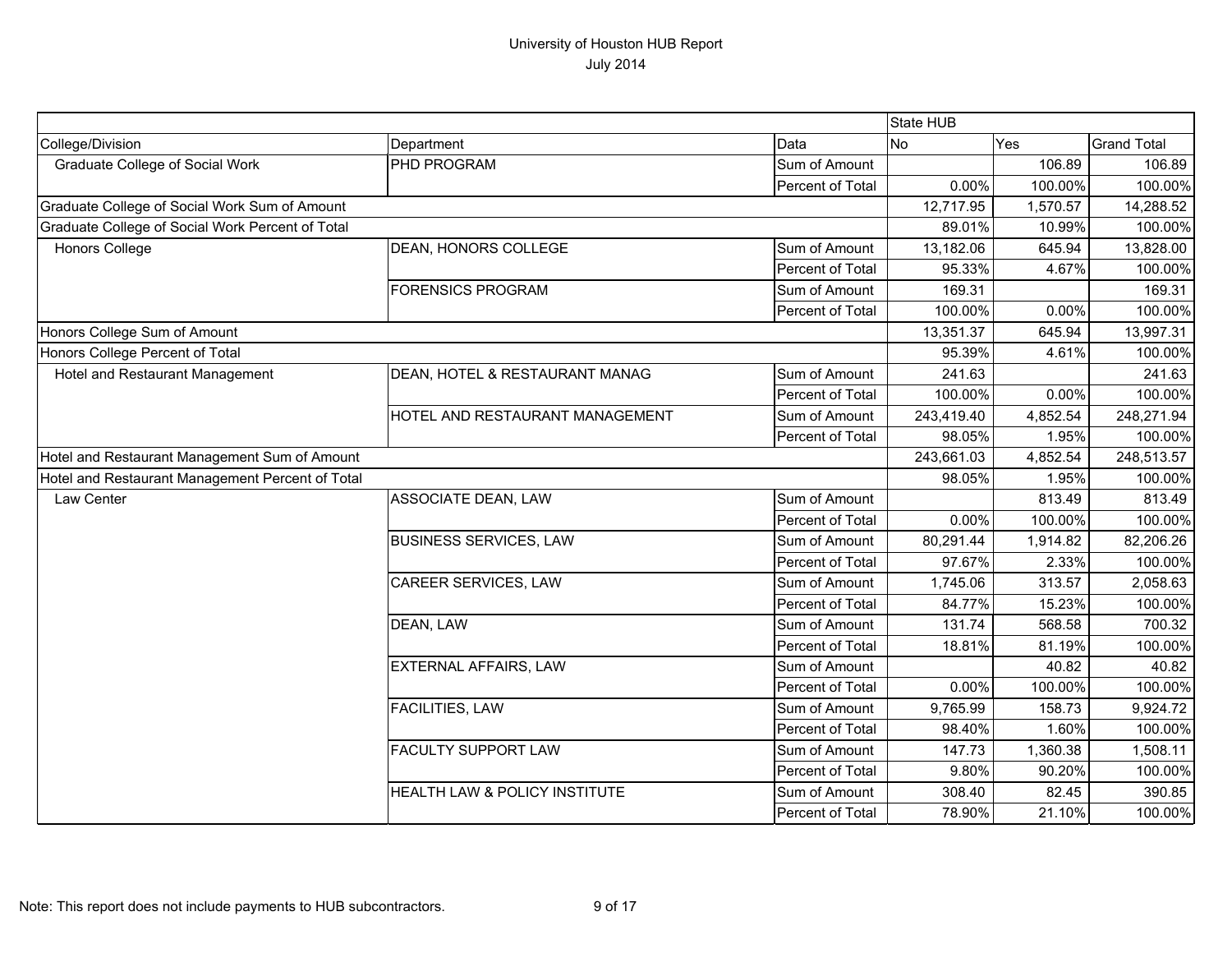|                                                  |                                          |                  | State HUB  |          |                    |
|--------------------------------------------------|------------------------------------------|------------------|------------|----------|--------------------|
| College/Division                                 | Department                               | Data             | <b>No</b>  | Yes      | <b>Grand Total</b> |
| <b>Graduate College of Social Work</b>           | PHD PROGRAM                              | Sum of Amount    |            | 106.89   | 106.89             |
|                                                  |                                          | Percent of Total | 0.00%      | 100.00%  | 100.00%            |
| Graduate College of Social Work Sum of Amount    |                                          |                  | 12,717.95  | 1,570.57 | 14,288.52          |
| Graduate College of Social Work Percent of Total |                                          |                  | 89.01%     | 10.99%   | 100.00%            |
| Honors College                                   | DEAN, HONORS COLLEGE                     | Sum of Amount    | 13,182.06  | 645.94   | 13,828.00          |
|                                                  |                                          | Percent of Total | 95.33%     | 4.67%    | 100.00%            |
|                                                  | <b>FORENSICS PROGRAM</b>                 | Sum of Amount    | 169.31     |          | 169.31             |
|                                                  |                                          | Percent of Total | 100.00%    | 0.00%    | 100.00%            |
| Honors College Sum of Amount                     |                                          |                  | 13,351.37  | 645.94   | 13,997.31          |
| Honors College Percent of Total                  |                                          |                  | 95.39%     | 4.61%    | 100.00%            |
| Hotel and Restaurant Management                  | DEAN, HOTEL & RESTAURANT MANAG           | Sum of Amount    | 241.63     |          | 241.63             |
|                                                  |                                          | Percent of Total | 100.00%    | 0.00%    | 100.00%            |
|                                                  | HOTEL AND RESTAURANT MANAGEMENT          | Sum of Amount    | 243,419.40 | 4,852.54 | 248,271.94         |
|                                                  |                                          | Percent of Total | 98.05%     | 1.95%    | 100.00%            |
| Hotel and Restaurant Management Sum of Amount    |                                          |                  | 243,661.03 | 4,852.54 | 248,513.57         |
| Hotel and Restaurant Management Percent of Total |                                          |                  | 98.05%     | 1.95%    | 100.00%            |
| Law Center                                       | <b>ASSOCIATE DEAN, LAW</b>               | Sum of Amount    |            | 813.49   | 813.49             |
|                                                  |                                          | Percent of Total | 0.00%      | 100.00%  | 100.00%            |
|                                                  | <b>BUSINESS SERVICES, LAW</b>            | Sum of Amount    | 80,291.44  | 1,914.82 | 82,206.26          |
|                                                  |                                          | Percent of Total | 97.67%     | 2.33%    | 100.00%            |
|                                                  | <b>CAREER SERVICES, LAW</b>              | Sum of Amount    | 1,745.06   | 313.57   | 2,058.63           |
|                                                  |                                          | Percent of Total | 84.77%     | 15.23%   | 100.00%            |
|                                                  | DEAN, LAW                                | Sum of Amount    | 131.74     | 568.58   | 700.32             |
|                                                  |                                          | Percent of Total | 18.81%     | 81.19%   | 100.00%            |
|                                                  | <b>EXTERNAL AFFAIRS, LAW</b>             | Sum of Amount    |            | 40.82    | 40.82              |
|                                                  |                                          | Percent of Total | 0.00%      | 100.00%  | 100.00%            |
|                                                  | <b>FACILITIES, LAW</b>                   | Sum of Amount    | 9,765.99   | 158.73   | 9,924.72           |
|                                                  |                                          | Percent of Total | 98.40%     | 1.60%    | 100.00%            |
|                                                  | <b>FACULTY SUPPORT LAW</b>               | Sum of Amount    | 147.73     | 1,360.38 | 1,508.11           |
|                                                  |                                          | Percent of Total | 9.80%      | 90.20%   | 100.00%            |
|                                                  | <b>HEALTH LAW &amp; POLICY INSTITUTE</b> | Sum of Amount    | 308.40     | 82.45    | 390.85             |
|                                                  |                                          | Percent of Total | 78.90%     | 21.10%   | 100.00%            |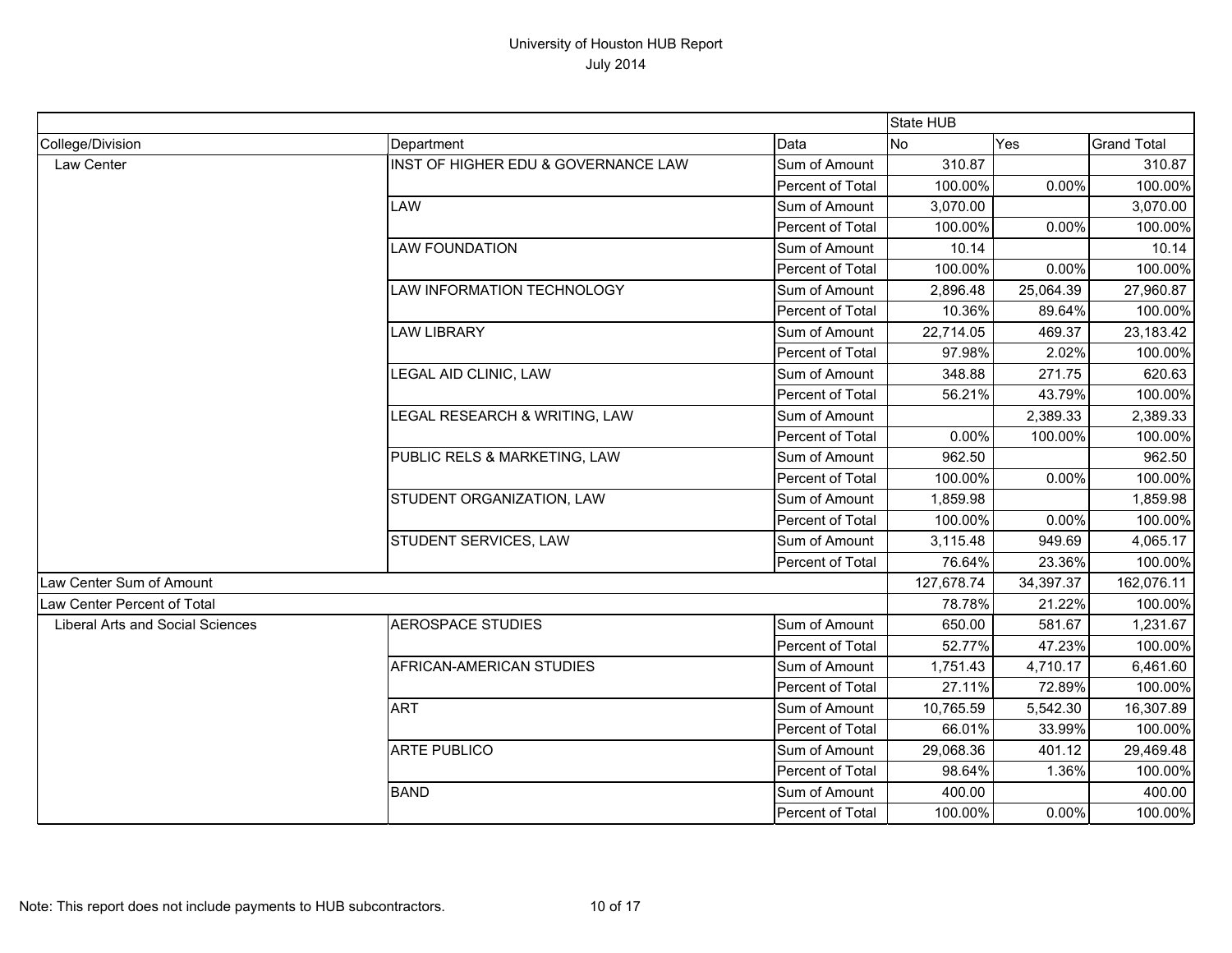|                                         |                                     |                  | State HUB  |           |                    |
|-----------------------------------------|-------------------------------------|------------------|------------|-----------|--------------------|
| College/Division                        | Department                          | Data             | No         | Yes       | <b>Grand Total</b> |
| Law Center                              | INST OF HIGHER EDU & GOVERNANCE LAW | Sum of Amount    | 310.87     |           | 310.87             |
|                                         |                                     | Percent of Total | 100.00%    | 0.00%     | 100.00%            |
|                                         | LAW                                 | Sum of Amount    | 3,070.00   |           | 3,070.00           |
|                                         |                                     | Percent of Total | 100.00%    | 0.00%     | 100.00%            |
|                                         | <b>LAW FOUNDATION</b>               | Sum of Amount    | 10.14      |           | 10.14              |
|                                         |                                     | Percent of Total | 100.00%    | 0.00%     | 100.00%            |
|                                         | LAW INFORMATION TECHNOLOGY          | Sum of Amount    | 2,896.48   | 25,064.39 | 27,960.87          |
|                                         |                                     | Percent of Total | 10.36%     | 89.64%    | 100.00%            |
|                                         | <b>LAW LIBRARY</b>                  | Sum of Amount    | 22,714.05  | 469.37    | 23,183.42          |
|                                         |                                     | Percent of Total | 97.98%     | 2.02%     | 100.00%            |
|                                         | LEGAL AID CLINIC, LAW               | Sum of Amount    | 348.88     | 271.75    | 620.63             |
|                                         |                                     | Percent of Total | 56.21%     | 43.79%    | 100.00%            |
|                                         | LEGAL RESEARCH & WRITING, LAW       | Sum of Amount    |            | 2,389.33  | 2,389.33           |
|                                         |                                     | Percent of Total | 0.00%      | 100.00%   | 100.00%            |
|                                         | PUBLIC RELS & MARKETING, LAW        | Sum of Amount    | 962.50     |           | 962.50             |
|                                         |                                     | Percent of Total | 100.00%    | 0.00%     | 100.00%            |
|                                         | STUDENT ORGANIZATION, LAW           | Sum of Amount    | 1,859.98   |           | 1,859.98           |
|                                         |                                     | Percent of Total | 100.00%    | 0.00%     | 100.00%            |
|                                         | STUDENT SERVICES, LAW               | Sum of Amount    | 3,115.48   | 949.69    | 4,065.17           |
|                                         |                                     | Percent of Total | 76.64%     | 23.36%    | 100.00%            |
| Law Center Sum of Amount                |                                     |                  | 127,678.74 | 34,397.37 | 162,076.11         |
| Law Center Percent of Total             |                                     |                  | 78.78%     | 21.22%    | 100.00%            |
| <b>Liberal Arts and Social Sciences</b> | <b>AEROSPACE STUDIES</b>            | Sum of Amount    | 650.00     | 581.67    | 1,231.67           |
|                                         |                                     | Percent of Total | 52.77%     | 47.23%    | 100.00%            |
|                                         | AFRICAN-AMERICAN STUDIES            | Sum of Amount    | 1,751.43   | 4,710.17  | 6,461.60           |
|                                         |                                     | Percent of Total | 27.11%     | 72.89%    | 100.00%            |
|                                         | <b>ART</b>                          | Sum of Amount    | 10,765.59  | 5,542.30  | 16,307.89          |
|                                         |                                     | Percent of Total | 66.01%     | 33.99%    | 100.00%            |
|                                         | <b>ARTE PUBLICO</b>                 | Sum of Amount    | 29,068.36  | 401.12    | 29,469.48          |
|                                         |                                     | Percent of Total | 98.64%     | 1.36%     | 100.00%            |
|                                         | <b>BAND</b>                         | Sum of Amount    | 400.00     |           | 400.00             |
|                                         |                                     | Percent of Total | 100.00%    | 0.00%     | 100.00%            |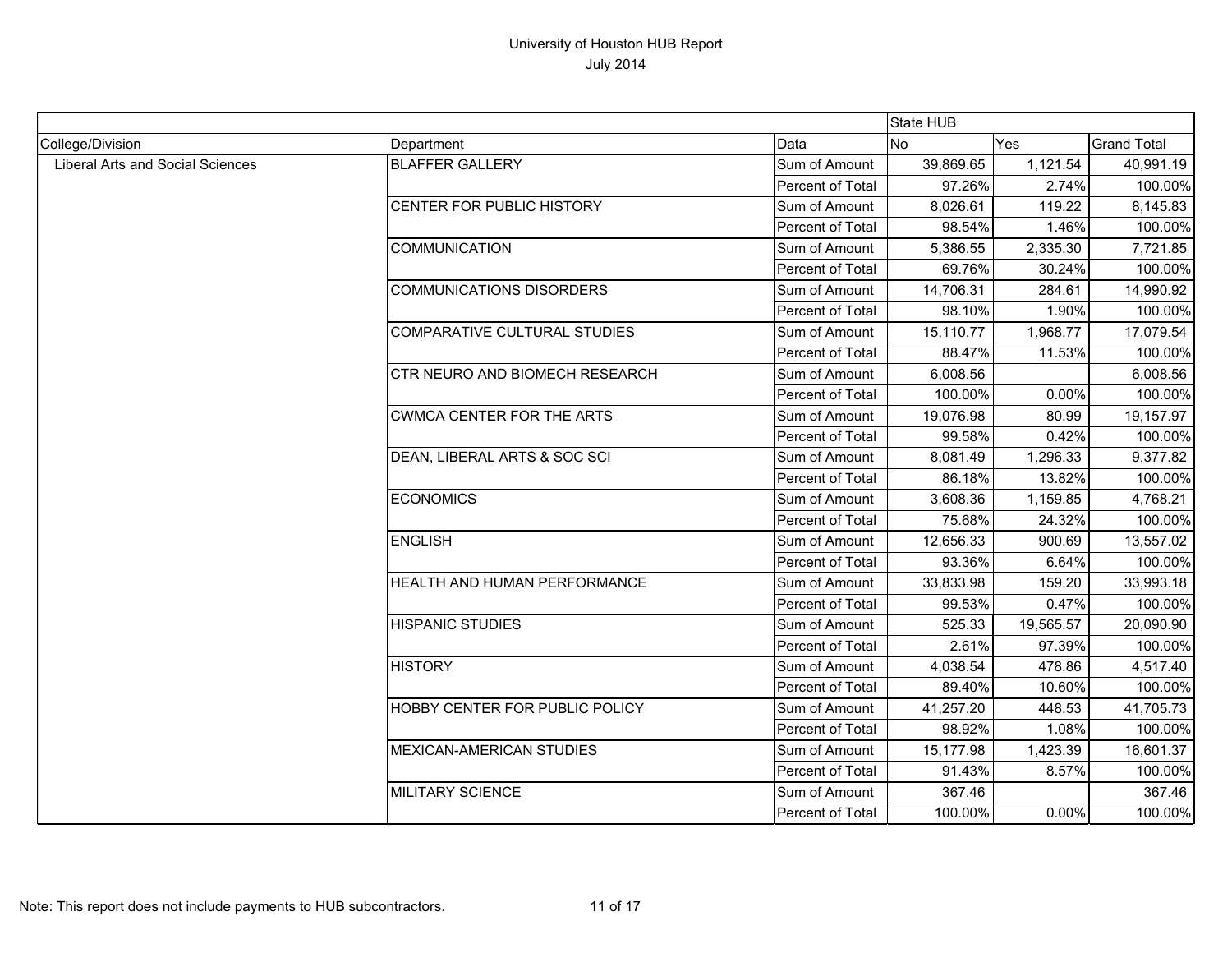|                                         |                                  |                         | State HUB      |           |                    |
|-----------------------------------------|----------------------------------|-------------------------|----------------|-----------|--------------------|
| College/Division                        | Department                       | Data                    | N <sub>o</sub> | Yes       | <b>Grand Total</b> |
| <b>Liberal Arts and Social Sciences</b> | <b>BLAFFER GALLERY</b>           | Sum of Amount           | 39,869.65      | 1,121.54  | 40,991.19          |
|                                         |                                  | Percent of Total        | 97.26%         | 2.74%     | 100.00%            |
|                                         | CENTER FOR PUBLIC HISTORY        | Sum of Amount           | 8,026.61       | 119.22    | 8,145.83           |
|                                         |                                  | <b>Percent of Total</b> | 98.54%         | 1.46%     | 100.00%            |
|                                         | <b>COMMUNICATION</b>             | Sum of Amount           | 5,386.55       | 2,335.30  | 7,721.85           |
|                                         |                                  | Percent of Total        | 69.76%         | 30.24%    | 100.00%            |
|                                         | <b>COMMUNICATIONS DISORDERS</b>  | Sum of Amount           | 14,706.31      | 284.61    | 14,990.92          |
|                                         |                                  | Percent of Total        | 98.10%         | 1.90%     | 100.00%            |
|                                         | COMPARATIVE CULTURAL STUDIES     | Sum of Amount           | 15,110.77      | 1,968.77  | 17,079.54          |
|                                         |                                  | Percent of Total        | 88.47%         | 11.53%    | 100.00%            |
|                                         | CTR NEURO AND BIOMECH RESEARCH   | Sum of Amount           | 6,008.56       |           | 6,008.56           |
|                                         |                                  | Percent of Total        | 100.00%        | 0.00%     | 100.00%            |
|                                         | <b>CWMCA CENTER FOR THE ARTS</b> | Sum of Amount           | 19,076.98      | 80.99     | 19,157.97          |
|                                         |                                  | Percent of Total        | 99.58%         | 0.42%     | 100.00%            |
|                                         | DEAN, LIBERAL ARTS & SOC SCI     | Sum of Amount           | 8,081.49       | 1,296.33  | 9,377.82           |
|                                         |                                  | Percent of Total        | 86.18%         | 13.82%    | 100.00%            |
|                                         | <b>ECONOMICS</b>                 | Sum of Amount           | 3,608.36       | 1,159.85  | 4,768.21           |
|                                         |                                  | Percent of Total        | 75.68%         | 24.32%    | 100.00%            |
|                                         | <b>ENGLISH</b>                   | Sum of Amount           | 12,656.33      | 900.69    | 13,557.02          |
|                                         |                                  | Percent of Total        | 93.36%         | 6.64%     | 100.00%            |
|                                         | HEALTH AND HUMAN PERFORMANCE     | Sum of Amount           | 33,833.98      | 159.20    | 33,993.18          |
|                                         |                                  | Percent of Total        | 99.53%         | 0.47%     | 100.00%            |
|                                         | <b>HISPANIC STUDIES</b>          | Sum of Amount           | 525.33         | 19,565.57 | 20,090.90          |
|                                         |                                  | Percent of Total        | 2.61%          | 97.39%    | 100.00%            |
|                                         | <b>HISTORY</b>                   | Sum of Amount           | 4,038.54       | 478.86    | 4,517.40           |
|                                         |                                  | Percent of Total        | 89.40%         | 10.60%    | 100.00%            |
|                                         | HOBBY CENTER FOR PUBLIC POLICY   | Sum of Amount           | 41,257.20      | 448.53    | 41,705.73          |
|                                         |                                  | Percent of Total        | 98.92%         | 1.08%     | 100.00%            |
|                                         | <b>MEXICAN-AMERICAN STUDIES</b>  | Sum of Amount           | 15,177.98      | 1,423.39  | 16,601.37          |
|                                         |                                  | Percent of Total        | 91.43%         | 8.57%     | 100.00%            |
|                                         | <b>MILITARY SCIENCE</b>          | Sum of Amount           | 367.46         |           | 367.46             |
|                                         |                                  | Percent of Total        | 100.00%        | 0.00%     | 100.00%            |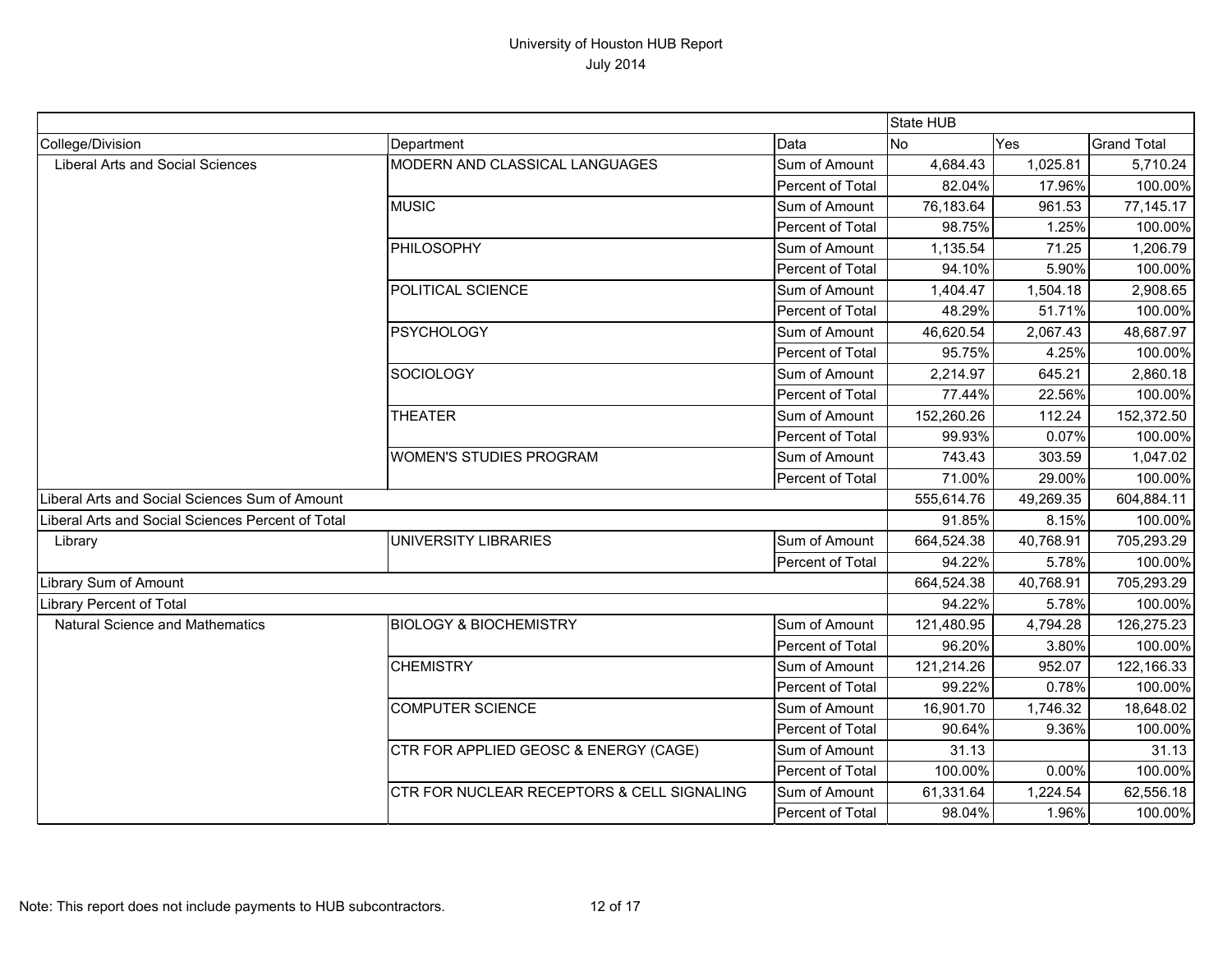|                                                   |                                                       |                         | State HUB  |           |                    |
|---------------------------------------------------|-------------------------------------------------------|-------------------------|------------|-----------|--------------------|
| College/Division                                  | Department                                            | Data                    | No         | Yes       | <b>Grand Total</b> |
| <b>Liberal Arts and Social Sciences</b>           | <b>MODERN AND CLASSICAL LANGUAGES</b>                 | Sum of Amount           | 4,684.43   | 1,025.81  | 5,710.24           |
|                                                   |                                                       | Percent of Total        | 82.04%     | 17.96%    | 100.00%            |
|                                                   | <b>MUSIC</b>                                          | Sum of Amount           | 76,183.64  | 961.53    | 77,145.17          |
|                                                   |                                                       | Percent of Total        | 98.75%     | 1.25%     | 100.00%            |
|                                                   | PHILOSOPHY                                            | Sum of Amount           | 1,135.54   | 71.25     | 1,206.79           |
|                                                   |                                                       | Percent of Total        | 94.10%     | 5.90%     | 100.00%            |
|                                                   | POLITICAL SCIENCE                                     | Sum of Amount           | 1,404.47   | 1,504.18  | 2,908.65           |
|                                                   |                                                       | Percent of Total        | 48.29%     | 51.71%    | 100.00%            |
|                                                   | <b>PSYCHOLOGY</b>                                     | Sum of Amount           | 46,620.54  | 2,067.43  | 48,687.97          |
|                                                   |                                                       | Percent of Total        | 95.75%     | 4.25%     | 100.00%            |
|                                                   | <b>SOCIOLOGY</b>                                      | Sum of Amount           | 2,214.97   | 645.21    | 2,860.18           |
|                                                   |                                                       | Percent of Total        | 77.44%     | 22.56%    | 100.00%            |
|                                                   | <b>THEATER</b>                                        | Sum of Amount           | 152,260.26 | 112.24    | 152,372.50         |
|                                                   |                                                       | Percent of Total        | 99.93%     | 0.07%     | 100.00%            |
|                                                   | <b>WOMEN'S STUDIES PROGRAM</b>                        | Sum of Amount           | 743.43     | 303.59    | 1,047.02           |
|                                                   |                                                       | Percent of Total        | 71.00%     | 29.00%    | 100.00%            |
| Liberal Arts and Social Sciences Sum of Amount    |                                                       |                         | 555,614.76 | 49,269.35 | 604,884.11         |
| Liberal Arts and Social Sciences Percent of Total |                                                       |                         | 91.85%     | 8.15%     | 100.00%            |
| Library                                           | UNIVERSITY LIBRARIES                                  | Sum of Amount           | 664,524.38 | 40,768.91 | 705,293.29         |
|                                                   |                                                       | Percent of Total        | 94.22%     | 5.78%     | 100.00%            |
| Library Sum of Amount                             |                                                       |                         | 664,524.38 | 40,768.91 | 705,293.29         |
| Library Percent of Total                          |                                                       |                         | 94.22%     | 5.78%     | 100.00%            |
| <b>Natural Science and Mathematics</b>            | <b>BIOLOGY &amp; BIOCHEMISTRY</b>                     | Sum of Amount           | 121,480.95 | 4,794.28  | 126,275.23         |
|                                                   |                                                       | Percent of Total        | 96.20%     | 3.80%     | 100.00%            |
|                                                   | <b>CHEMISTRY</b>                                      | Sum of Amount           | 121,214.26 | 952.07    | 122,166.33         |
|                                                   |                                                       | <b>Percent of Total</b> | 99.22%     | 0.78%     | 100.00%            |
|                                                   | <b>COMPUTER SCIENCE</b>                               | Sum of Amount           | 16,901.70  | 1,746.32  | 18,648.02          |
|                                                   |                                                       | Percent of Total        | 90.64%     | 9.36%     | 100.00%            |
|                                                   | CTR FOR APPLIED GEOSC & ENERGY (CAGE)                 | Sum of Amount           | 31.13      |           | 31.13              |
|                                                   |                                                       | Percent of Total        | 100.00%    | 0.00%     | 100.00%            |
|                                                   | <b>CTR FOR NUCLEAR RECEPTORS &amp; CELL SIGNALING</b> | Sum of Amount           | 61,331.64  | 1,224.54  | 62,556.18          |
|                                                   |                                                       | Percent of Total        | 98.04%     | 1.96%     | 100.00%            |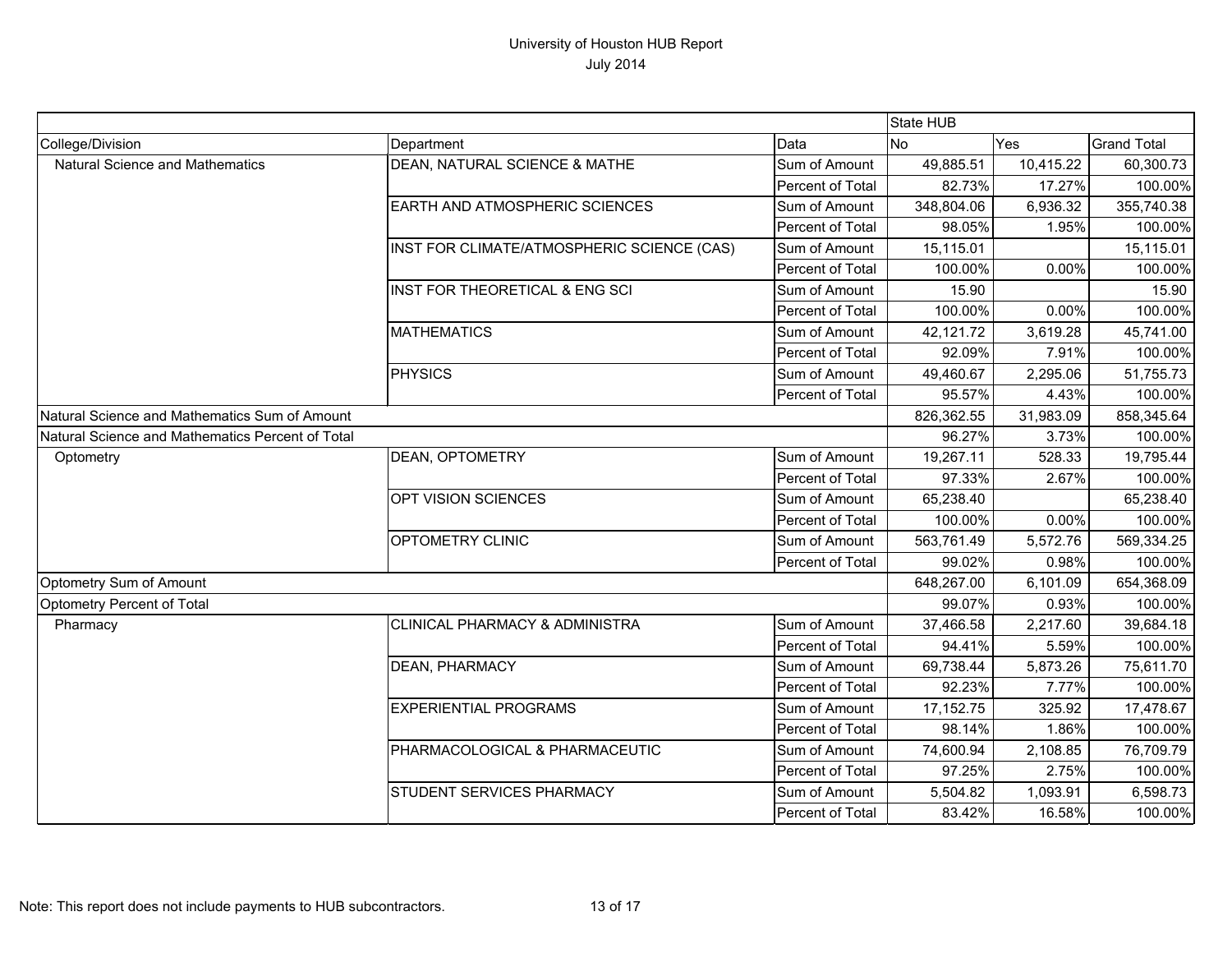|                                                  |                                            |                  | State HUB   |           |                    |
|--------------------------------------------------|--------------------------------------------|------------------|-------------|-----------|--------------------|
| College/Division                                 | Department                                 | Data             | <b>No</b>   | Yes       | <b>Grand Total</b> |
| <b>Natural Science and Mathematics</b>           | DEAN, NATURAL SCIENCE & MATHE              | Sum of Amount    | 49,885.51   | 10,415.22 | 60,300.73          |
|                                                  |                                            | Percent of Total | 82.73%      | 17.27%    | 100.00%            |
|                                                  | EARTH AND ATMOSPHERIC SCIENCES             | Sum of Amount    | 348,804.06  | 6,936.32  | 355,740.38         |
|                                                  |                                            | Percent of Total | 98.05%      | 1.95%     | 100.00%            |
|                                                  | INST FOR CLIMATE/ATMOSPHERIC SCIENCE (CAS) | Sum of Amount    | 15,115.01   |           | 15,115.01          |
|                                                  |                                            | Percent of Total | 100.00%     | 0.00%     | 100.00%            |
|                                                  | INST FOR THEORETICAL & ENG SCI             | Sum of Amount    | 15.90       |           | 15.90              |
|                                                  |                                            | Percent of Total | 100.00%     | 0.00%     | 100.00%            |
|                                                  | <b>MATHEMATICS</b>                         | Sum of Amount    | 42,121.72   | 3,619.28  | 45,741.00          |
|                                                  |                                            | Percent of Total | 92.09%      | 7.91%     | 100.00%            |
|                                                  | <b>PHYSICS</b>                             | Sum of Amount    | 49,460.67   | 2,295.06  | 51,755.73          |
|                                                  |                                            | Percent of Total | 95.57%      | 4.43%     | 100.00%            |
| Natural Science and Mathematics Sum of Amount    |                                            |                  | 826,362.55  | 31,983.09 | 858,345.64         |
| Natural Science and Mathematics Percent of Total |                                            |                  | 96.27%      | 3.73%     | 100.00%            |
| Optometry                                        | <b>DEAN, OPTOMETRY</b>                     | Sum of Amount    | 19,267.11   | 528.33    | 19,795.44          |
|                                                  |                                            | Percent of Total | 97.33%      | 2.67%     | 100.00%            |
|                                                  | OPT VISION SCIENCES                        | Sum of Amount    | 65,238.40   |           | 65,238.40          |
|                                                  |                                            | Percent of Total | 100.00%     | 0.00%     | 100.00%            |
|                                                  | OPTOMETRY CLINIC                           | Sum of Amount    | 563,761.49  | 5,572.76  | 569,334.25         |
|                                                  |                                            | Percent of Total | 99.02%      | 0.98%     | 100.00%            |
| Optometry Sum of Amount                          |                                            |                  | 648,267.00  | 6,101.09  | 654,368.09         |
| Optometry Percent of Total                       |                                            |                  | 99.07%      | 0.93%     | 100.00%            |
| Pharmacy                                         | <b>CLINICAL PHARMACY &amp; ADMINISTRA</b>  | Sum of Amount    | 37,466.58   | 2,217.60  | 39,684.18          |
|                                                  |                                            | Percent of Total | 94.41%      | 5.59%     | 100.00%            |
|                                                  | <b>DEAN, PHARMACY</b>                      | Sum of Amount    | 69,738.44   | 5,873.26  | 75,611.70          |
|                                                  |                                            | Percent of Total | 92.23%      | 7.77%     | 100.00%            |
|                                                  | <b>EXPERIENTIAL PROGRAMS</b>               | Sum of Amount    | 17, 152. 75 | 325.92    | 17,478.67          |
|                                                  |                                            | Percent of Total | 98.14%      | 1.86%     | 100.00%            |
|                                                  | PHARMACOLOGICAL & PHARMACEUTIC             | Sum of Amount    | 74,600.94   | 2,108.85  | 76,709.79          |
|                                                  |                                            | Percent of Total | 97.25%      | 2.75%     | 100.00%            |
|                                                  | <b>STUDENT SERVICES PHARMACY</b>           | Sum of Amount    | 5,504.82    | 1,093.91  | 6,598.73           |
|                                                  |                                            | Percent of Total | 83.42%      | 16.58%    | 100.00%            |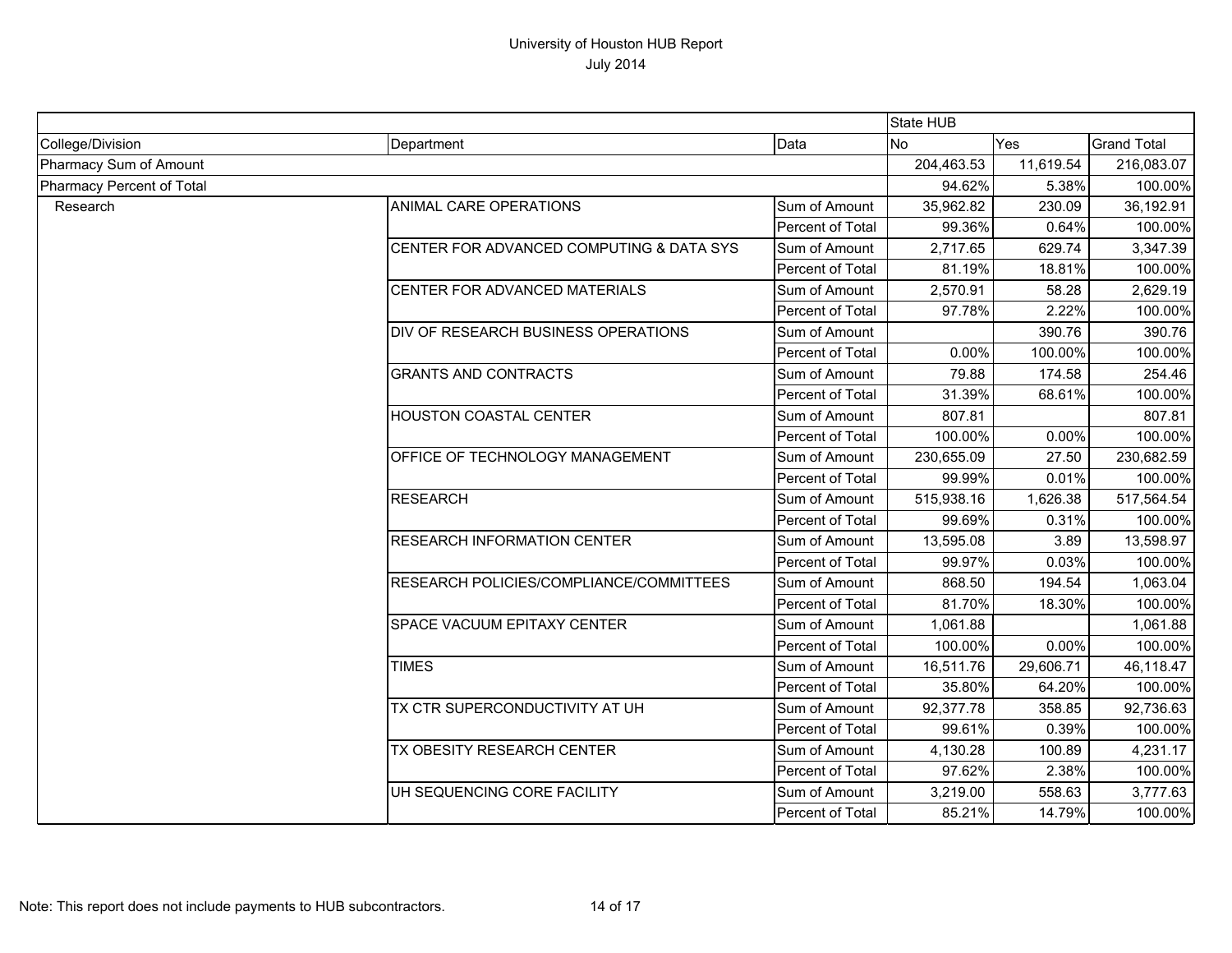|                           |                                          |                  | State HUB  |            |                                                                                                                                          |
|---------------------------|------------------------------------------|------------------|------------|------------|------------------------------------------------------------------------------------------------------------------------------------------|
| College/Division          | Department                               | Data             | <b>No</b>  | Yes        | <b>Grand Total</b>                                                                                                                       |
| Pharmacy Sum of Amount    |                                          | 204,463.53       | 11,619.54  | 216,083.07 |                                                                                                                                          |
| Pharmacy Percent of Total |                                          | 94.62%           | 5.38%      | 100.00%    |                                                                                                                                          |
| Research                  | ANIMAL CARE OPERATIONS                   | Sum of Amount    | 35,962.82  | 230.09     | 36,192.91                                                                                                                                |
|                           |                                          | Percent of Total | 99.36%     | 0.64%      | 100.00%                                                                                                                                  |
|                           | CENTER FOR ADVANCED COMPUTING & DATA SYS | Sum of Amount    | 2,717.65   | 629.74     | 3,347.39                                                                                                                                 |
|                           |                                          | Percent of Total | 81.19%     | 18.81%     | 100.00%                                                                                                                                  |
|                           | CENTER FOR ADVANCED MATERIALS            | Sum of Amount    | 2,570.91   | 58.28      | 2,629.19                                                                                                                                 |
|                           |                                          | Percent of Total | 97.78%     | 2.22%      | 100.00%                                                                                                                                  |
|                           | DIV OF RESEARCH BUSINESS OPERATIONS      | Sum of Amount    |            | 390.76     |                                                                                                                                          |
|                           |                                          | Percent of Total | 0.00%      | 100.00%    |                                                                                                                                          |
|                           | <b>GRANTS AND CONTRACTS</b>              | Sum of Amount    | 79.88      | 174.58     | 254.46                                                                                                                                   |
|                           |                                          | Percent of Total | 31.39%     | 68.61%     |                                                                                                                                          |
|                           | <b>HOUSTON COASTAL CENTER</b>            | Sum of Amount    | 807.81     |            | 807.81                                                                                                                                   |
|                           |                                          | Percent of Total | 100.00%    | 0.00%      |                                                                                                                                          |
|                           | OFFICE OF TECHNOLOGY MANAGEMENT          | Sum of Amount    | 230,655.09 | 27.50      | 390.76<br>100.00%<br>100.00%<br>100.00%<br>230,682.59<br>100.00%<br>517,564.54<br>100.00%<br>13,598.97<br>100.00%<br>1,063.04<br>100.00% |
|                           |                                          | Percent of Total | 99.99%     | 0.01%      |                                                                                                                                          |
|                           | <b>RESEARCH</b>                          | Sum of Amount    | 515,938.16 | 1,626.38   |                                                                                                                                          |
|                           |                                          | Percent of Total | 99.69%     | 0.31%      |                                                                                                                                          |
|                           | <b>RESEARCH INFORMATION CENTER</b>       | Sum of Amount    | 13,595.08  | 3.89       |                                                                                                                                          |
|                           |                                          | Percent of Total | 99.97%     | 0.03%      |                                                                                                                                          |
|                           | RESEARCH POLICIES/COMPLIANCE/COMMITTEES  | Sum of Amount    | 868.50     | 194.54     |                                                                                                                                          |
|                           |                                          | Percent of Total | 81.70%     | 18.30%     |                                                                                                                                          |
|                           | <b>SPACE VACUUM EPITAXY CENTER</b>       | Sum of Amount    | 1,061.88   |            | 1,061.88                                                                                                                                 |
|                           |                                          | Percent of Total | 100.00%    | 0.00%      | 100.00%                                                                                                                                  |
|                           | <b>TIMES</b>                             | Sum of Amount    | 16,511.76  | 29,606.71  | 46,118.47<br>4,231.17                                                                                                                    |
|                           |                                          | Percent of Total | 35.80%     | 64.20%     | 100.00%                                                                                                                                  |
|                           | TX CTR SUPERCONDUCTIVITY AT UH           | Sum of Amount    | 92,377.78  | 358.85     | 92,736.63                                                                                                                                |
|                           |                                          | Percent of Total | 99.61%     | 0.39%      | 100.00%                                                                                                                                  |
|                           | TX OBESITY RESEARCH CENTER               | Sum of Amount    | 4,130.28   | 100.89     |                                                                                                                                          |
|                           |                                          | Percent of Total | 97.62%     | 2.38%      | 100.00%                                                                                                                                  |
|                           | UH SEQUENCING CORE FACILITY              | Sum of Amount    | 3,219.00   | 558.63     | 3,777.63                                                                                                                                 |
|                           |                                          | Percent of Total | 85.21%     | 14.79%     | 100.00%                                                                                                                                  |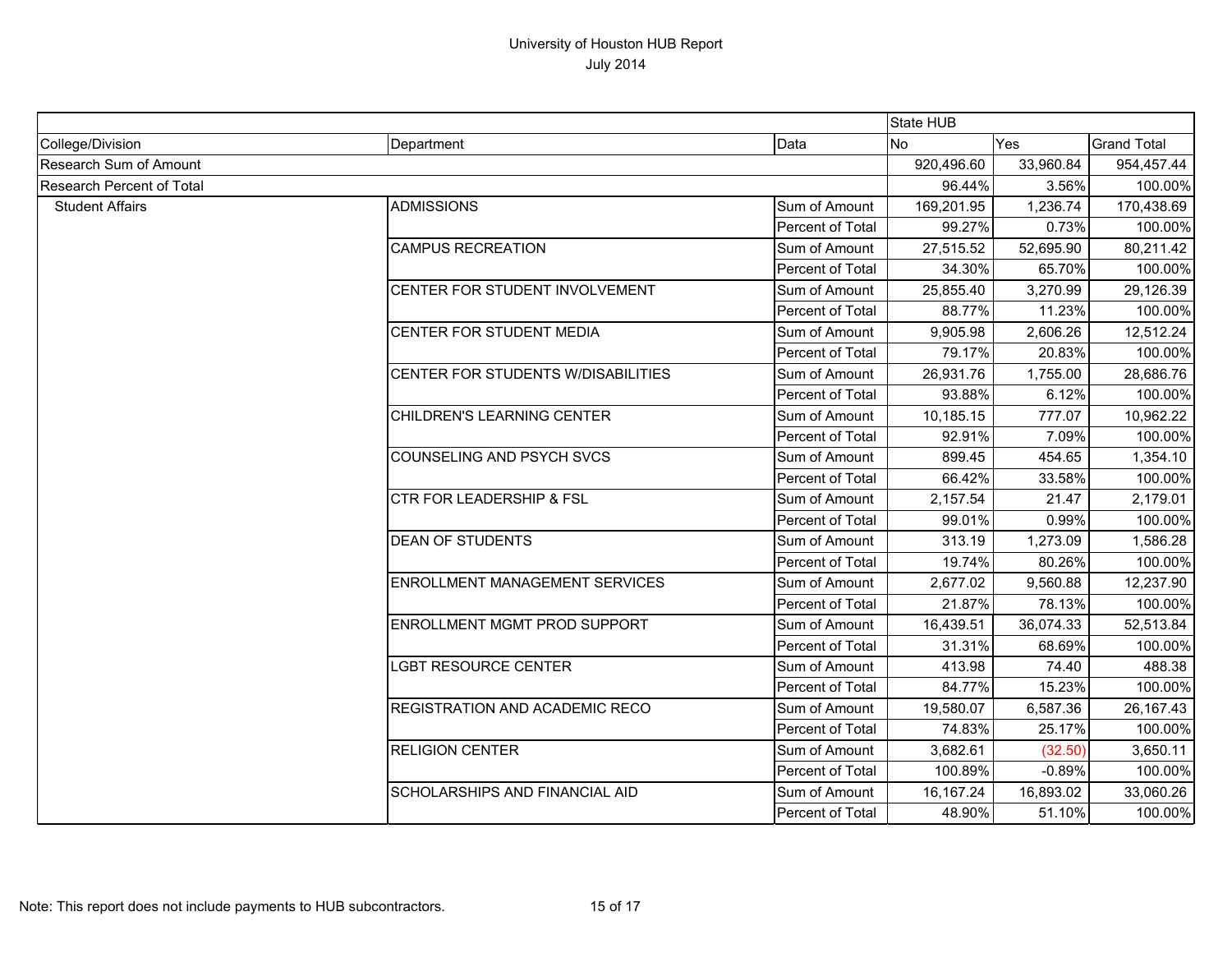|                           |                                     |                  | State HUB  |           |                                                                                                                                                                                                                                                                                                                    |
|---------------------------|-------------------------------------|------------------|------------|-----------|--------------------------------------------------------------------------------------------------------------------------------------------------------------------------------------------------------------------------------------------------------------------------------------------------------------------|
| College/Division          | Department                          | Data             | <b>No</b>  | Yes       |                                                                                                                                                                                                                                                                                                                    |
| Research Sum of Amount    |                                     |                  | 920,496.60 | 33,960.84 | 954,457.44                                                                                                                                                                                                                                                                                                         |
| Research Percent of Total |                                     | 96.44%           | 3.56%      |           |                                                                                                                                                                                                                                                                                                                    |
| <b>Student Affairs</b>    | <b>ADMISSIONS</b>                   | Sum of Amount    | 169,201.95 | 1,236.74  | 170,438.69                                                                                                                                                                                                                                                                                                         |
|                           |                                     | Percent of Total | 99.27%     | 0.73%     |                                                                                                                                                                                                                                                                                                                    |
|                           | <b>CAMPUS RECREATION</b>            | Sum of Amount    | 27,515.52  | 52,695.90 | 80,211.42                                                                                                                                                                                                                                                                                                          |
|                           |                                     | Percent of Total | 34.30%     | 65.70%    |                                                                                                                                                                                                                                                                                                                    |
|                           | CENTER FOR STUDENT INVOLVEMENT      | Sum of Amount    | 25,855.40  | 3,270.99  | 29,126.39                                                                                                                                                                                                                                                                                                          |
|                           |                                     | Percent of Total | 88.77%     | 11.23%    |                                                                                                                                                                                                                                                                                                                    |
|                           | CENTER FOR STUDENT MEDIA            | Sum of Amount    | 9,905.98   | 2,606.26  | 12,512.24                                                                                                                                                                                                                                                                                                          |
|                           |                                     | Percent of Total | 79.17%     | 20.83%    |                                                                                                                                                                                                                                                                                                                    |
|                           | CENTER FOR STUDENTS W/DISABILITIES  | Sum of Amount    | 26,931.76  | 1,755.00  | 28,686.76                                                                                                                                                                                                                                                                                                          |
|                           |                                     | Percent of Total | 93.88%     | 6.12%     |                                                                                                                                                                                                                                                                                                                    |
|                           | <b>CHILDREN'S LEARNING CENTER</b>   | Sum of Amount    | 10,185.15  | 777.07    |                                                                                                                                                                                                                                                                                                                    |
|                           |                                     | Percent of Total | 92.91%     | 7.09%     |                                                                                                                                                                                                                                                                                                                    |
|                           | <b>COUNSELING AND PSYCH SVCS</b>    | Sum of Amount    | 899.45     | 454.65    | <b>Grand Total</b><br>100.00%<br>100.00%<br>100.00%<br>100.00%<br>100.00%<br>100.00%<br>10,962.22<br>100.00%<br>1,354.10<br>100.00%<br>2,179.01<br>100.00%<br>1,586.28<br>100.00%<br>12,237.90<br>100.00%<br>52,513.84<br>100.00%<br>488.38<br>100.00%<br>26,167.43<br>100.00%<br>3,650.11<br>100.00%<br>33,060.26 |
|                           |                                     | Percent of Total | 66.42%     | 33.58%    |                                                                                                                                                                                                                                                                                                                    |
|                           | <b>CTR FOR LEADERSHIP &amp; FSL</b> | Sum of Amount    | 2,157.54   | 21.47     |                                                                                                                                                                                                                                                                                                                    |
|                           |                                     | Percent of Total | 99.01%     | 0.99%     |                                                                                                                                                                                                                                                                                                                    |
|                           | <b>DEAN OF STUDENTS</b>             | Sum of Amount    | 313.19     | 1,273.09  |                                                                                                                                                                                                                                                                                                                    |
|                           |                                     | Percent of Total | 19.74%     | 80.26%    |                                                                                                                                                                                                                                                                                                                    |
|                           | ENROLLMENT MANAGEMENT SERVICES      | Sum of Amount    | 2,677.02   | 9,560.88  |                                                                                                                                                                                                                                                                                                                    |
|                           |                                     | Percent of Total | 21.87%     | 78.13%    |                                                                                                                                                                                                                                                                                                                    |
|                           | ENROLLMENT MGMT PROD SUPPORT        | Sum of Amount    | 16,439.51  | 36,074.33 |                                                                                                                                                                                                                                                                                                                    |
|                           |                                     | Percent of Total | 31.31%     | 68.69%    |                                                                                                                                                                                                                                                                                                                    |
|                           | <b>LGBT RESOURCE CENTER</b>         | Sum of Amount    | 413.98     | 74.40     |                                                                                                                                                                                                                                                                                                                    |
|                           |                                     | Percent of Total | 84.77%     | 15.23%    |                                                                                                                                                                                                                                                                                                                    |
|                           | REGISTRATION AND ACADEMIC RECO      | Sum of Amount    | 19,580.07  | 6,587.36  |                                                                                                                                                                                                                                                                                                                    |
|                           |                                     | Percent of Total | 74.83%     | 25.17%    |                                                                                                                                                                                                                                                                                                                    |
|                           | <b>RELIGION CENTER</b>              | Sum of Amount    | 3,682.61   | (32.50)   |                                                                                                                                                                                                                                                                                                                    |
|                           |                                     | Percent of Total | 100.89%    | $-0.89%$  |                                                                                                                                                                                                                                                                                                                    |
|                           | SCHOLARSHIPS AND FINANCIAL AID      | Sum of Amount    | 16,167.24  | 16,893.02 |                                                                                                                                                                                                                                                                                                                    |
|                           |                                     | Percent of Total | 48.90%     | 51.10%    | 100.00%                                                                                                                                                                                                                                                                                                            |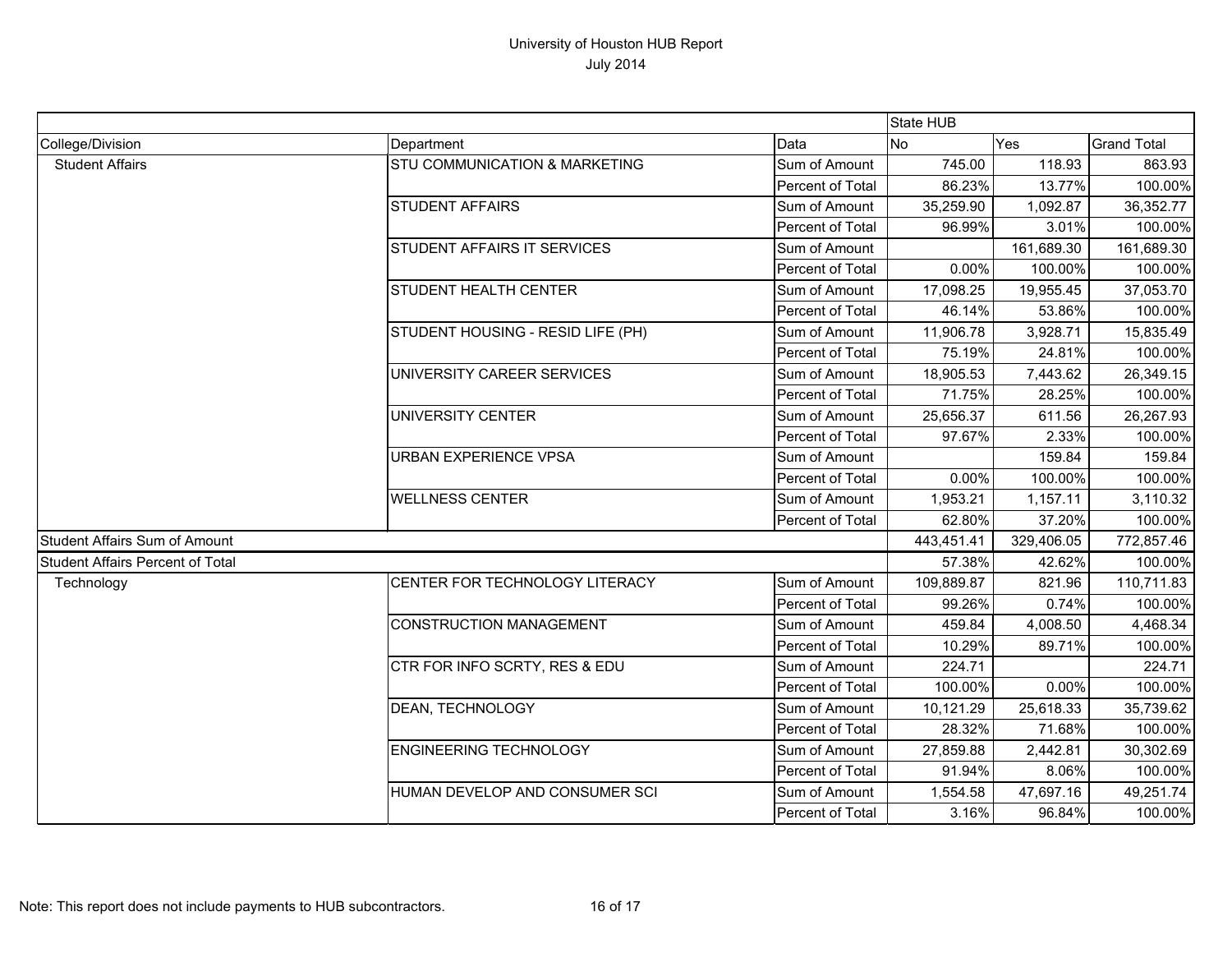|                                         |                                   |                  | State HUB  |                   |                    |
|-----------------------------------------|-----------------------------------|------------------|------------|-------------------|--------------------|
| College/Division                        | Department                        | Data             | No         | Yes               | <b>Grand Total</b> |
| <b>Student Affairs</b>                  | STU COMMUNICATION & MARKETING     | Sum of Amount    | 745.00     | 118.93            | 863.93             |
|                                         |                                   | Percent of Total | 86.23%     | 13.77%            | 100.00%            |
|                                         | <b>STUDENT AFFAIRS</b>            | Sum of Amount    | 35,259.90  | 1,092.87          | 36,352.77          |
|                                         |                                   | Percent of Total | 96.99%     | 3.01%             | 100.00%            |
|                                         | STUDENT AFFAIRS IT SERVICES       | Sum of Amount    |            | 161,689.30        | 161,689.30         |
|                                         |                                   | Percent of Total | 0.00%      | 100.00%           | 100.00%            |
|                                         | STUDENT HEALTH CENTER             | Sum of Amount    | 17,098.25  | 19,955.45         | 37,053.70          |
|                                         |                                   | Percent of Total | 46.14%     | 53.86%            | 100.00%            |
|                                         | STUDENT HOUSING - RESID LIFE (PH) | Sum of Amount    | 11,906.78  | 3,928.71          | 15,835.49          |
|                                         |                                   | Percent of Total | 75.19%     | 24.81%            | 100.00%            |
|                                         | UNIVERSITY CAREER SERVICES        | Sum of Amount    | 18,905.53  | 7,443.62          | 26,349.15          |
|                                         |                                   | Percent of Total | 71.75%     | 28.25%            | 100.00%            |
|                                         | <b>UNIVERSITY CENTER</b>          | Sum of Amount    | 25,656.37  | 611.56            | 26,267.93          |
|                                         |                                   | Percent of Total | 97.67%     | 2.33%             | 100.00%            |
|                                         | <b>URBAN EXPERIENCE VPSA</b>      | Sum of Amount    |            | 159.84<br>100.00% | 159.84             |
|                                         |                                   | Percent of Total | 0.00%      |                   | 100.00%            |
|                                         | <b>WELLNESS CENTER</b>            | Sum of Amount    | 1,953.21   | 1,157.11          | 3,110.32           |
|                                         |                                   | Percent of Total | 62.80%     | 37.20%            | 100.00%            |
| <b>Student Affairs Sum of Amount</b>    |                                   |                  | 443,451.41 | 329,406.05        | 772,857.46         |
| <b>Student Affairs Percent of Total</b> |                                   | 57.38%           | 42.62%     | 100.00%           |                    |
| Technology                              | CENTER FOR TECHNOLOGY LITERACY    | Sum of Amount    | 109,889.87 | 821.96            | 110,711.83         |
|                                         |                                   | Percent of Total | 99.26%     | 0.74%             | 100.00%            |
|                                         | <b>CONSTRUCTION MANAGEMENT</b>    | Sum of Amount    | 459.84     | 4,008.50          | 4,468.34           |
|                                         |                                   | Percent of Total | 10.29%     | 89.71%            | 100.00%            |
|                                         | CTR FOR INFO SCRTY, RES & EDU     | Sum of Amount    | 224.71     |                   | 224.71             |
|                                         |                                   | Percent of Total | 100.00%    | 0.00%             | 100.00%            |
|                                         | DEAN, TECHNOLOGY                  | Sum of Amount    | 10,121.29  | 25,618.33         | 35,739.62          |
|                                         |                                   | Percent of Total | 28.32%     | 71.68%            | 100.00%            |
|                                         | <b>ENGINEERING TECHNOLOGY</b>     | Sum of Amount    | 27,859.88  | 2,442.81          | 30,302.69          |
|                                         |                                   | Percent of Total | 91.94%     | 8.06%             | 100.00%            |
|                                         | HUMAN DEVELOP AND CONSUMER SCI    | Sum of Amount    | 1,554.58   | 47,697.16         | 49,251.74          |
|                                         |                                   | Percent of Total | 3.16%      | 96.84%            | 100.00%            |